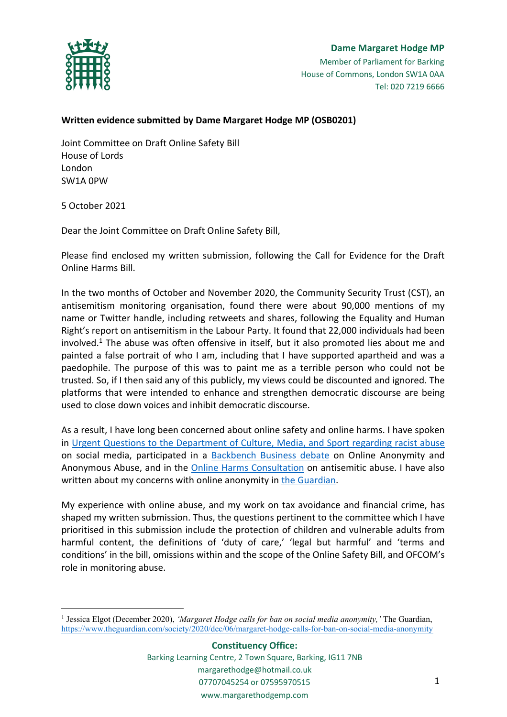

# **Dame Margaret Hodge MP** Member of Parliament for Barking House of Commons, London SW1A 0AA Tel: 020 7219 6666

# **Written evidence submitted by Dame Margaret Hodge MP (OSB0201)**

Joint Committee on Draft Online Safety Bill House of Lords London SW1A 0PW

5 October 2021

Dear the Joint Committee on Draft Online Safety Bill,

Please find enclosed my written submission, following the Call for Evidence for the Draft Online Harms Bill.

In the two months of October and November 2020, the Community Security Trust (CST), an antisemitism monitoring organisation, found there were about 90,000 mentions of my name or Twitter handle, including retweets and shares, following the Equality and Human Right's report on antisemitism in the Labour Party. It found that 22,000 individuals had been involved.<sup>1</sup> The abuse was often offensive in itself, but it also promoted lies about me and painted a false portrait of who I am, including that I have supported apartheid and was a paedophile. The purpose of this was to paint me as a terrible person who could not be trusted. So, if I then said any of this publicly, my views could be discounted and ignored. The platforms that were intended to enhance and strengthen democratic discourse are being used to close down voices and inhibit democratic discourse.

As a result, I have long been concerned about online safety and online harms. I have spoken in [Urgent](https://hansard.parliament.uk/Commons/2021-07-14/debates/B4980D5D-E885-4E0E-8A2A-127F2D5D099D/details) [Questions](https://hansard.parliament.uk/Commons/2021-07-14/debates/B4980D5D-E885-4E0E-8A2A-127F2D5D099D/details) [to](https://hansard.parliament.uk/Commons/2021-07-14/debates/B4980D5D-E885-4E0E-8A2A-127F2D5D099D/details) [the](https://hansard.parliament.uk/Commons/2021-07-14/debates/B4980D5D-E885-4E0E-8A2A-127F2D5D099D/details) [Department](https://hansard.parliament.uk/Commons/2021-07-14/debates/B4980D5D-E885-4E0E-8A2A-127F2D5D099D/details) [of](https://hansard.parliament.uk/Commons/2021-07-14/debates/B4980D5D-E885-4E0E-8A2A-127F2D5D099D/details) [Culture,](https://hansard.parliament.uk/Commons/2021-07-14/debates/B4980D5D-E885-4E0E-8A2A-127F2D5D099D/details) [Media,](https://hansard.parliament.uk/Commons/2021-07-14/debates/B4980D5D-E885-4E0E-8A2A-127F2D5D099D/details) [and](https://hansard.parliament.uk/Commons/2021-07-14/debates/B4980D5D-E885-4E0E-8A2A-127F2D5D099D/details) [Sport](https://hansard.parliament.uk/Commons/2021-07-14/debates/B4980D5D-E885-4E0E-8A2A-127F2D5D099D/details) [regarding](https://hansard.parliament.uk/Commons/2021-07-14/debates/B4980D5D-E885-4E0E-8A2A-127F2D5D099D/details) [racist](https://hansard.parliament.uk/Commons/2021-07-14/debates/B4980D5D-E885-4E0E-8A2A-127F2D5D099D/details) [abuse](https://hansard.parliament.uk/Commons/2021-07-14/debates/B4980D5D-E885-4E0E-8A2A-127F2D5D099D/details) on social media, participated in a [Backbench](https://hansard.parliament.uk/Commons/2021-03-24/debates/378D3CBD-E4C6-4138-ABA6-2783D130B23C/details) [Business](https://hansard.parliament.uk/Commons/2021-03-24/debates/378D3CBD-E4C6-4138-ABA6-2783D130B23C/details) [debate](https://hansard.parliament.uk/Commons/2021-03-24/debates/378D3CBD-E4C6-4138-ABA6-2783D130B23C/details) on Online Anonymity and Anonymous Abuse, and in the [Online](https://hansard.parliament.uk/Commons/2020-12-15/debates/1B8FD703-21A5-4E85-B888-FFCC5705D456/details) [Harms](https://hansard.parliament.uk/Commons/2020-12-15/debates/1B8FD703-21A5-4E85-B888-FFCC5705D456/details) [Consultation](https://hansard.parliament.uk/Commons/2020-12-15/debates/1B8FD703-21A5-4E85-B888-FFCC5705D456/details) on antisemitic abuse. I have also written about my concerns with online anonymity in [the](https://www.theguardian.com/society/2020/dec/06/margaret-hodge-calls-for-ban-on-social-media-anonymity) [Guardian](https://www.theguardian.com/society/2020/dec/06/margaret-hodge-calls-for-ban-on-social-media-anonymity).

My experience with online abuse, and my work on tax avoidance and financial crime, has shaped my written submission. Thus, the questions pertinent to the committee which I have prioritised in this submission include the protection of children and vulnerable adults from harmful content, the definitions of 'duty of care,' 'legal but harmful' and 'terms and conditions' in the bill, omissions within and the scope of the Online Safety Bill, and OFCOM's role in monitoring abuse.

<sup>1</sup> Jessica Elgot (December 2020), *'Margaret Hodge calls for ban on social media anonymity,'* The Guardian, <https://www.theguardian.com/society/2020/dec/06/margaret-hodge-calls-for-ban-on-social-media-anonymity>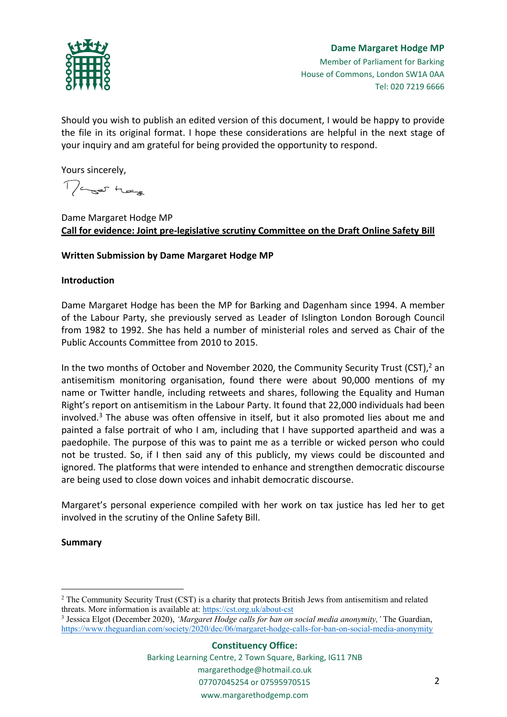

Should you wish to publish an edited version of this document, I would be happy to provide the file in its original format. I hope these considerations are helpful in the next stage of your inquiry and am grateful for being provided the opportunity to respond.

Yours sincerely,

Mager Hege

Dame Margaret Hodge MP **Call for evidence: Joint pre-legislative scrutiny Committee on the Draft Online Safety Bill**

## **Written Submission by Dame Margaret Hodge MP**

### **Introduction**

Dame Margaret Hodge has been the MP for Barking and Dagenham since 1994. A member of the Labour Party, she previously served as Leader of Islington London Borough Council from 1982 to 1992. She has held a number of ministerial roles and served as Chair of the Public Accounts Committee from 2010 to 2015.

In the two months of October and November 2020, the Community Security Trust (CST), $^2$  an antisemitism monitoring organisation, found there were about 90,000 mentions of my name or Twitter handle, including retweets and shares, following the Equality and Human Right's report on antisemitism in the Labour Party. It found that 22,000 individuals had been involved. $3$  The abuse was often offensive in itself, but it also promoted lies about me and painted a false portrait of who I am, including that I have supported apartheid and was a paedophile. The purpose of this was to paint me as a terrible or wicked person who could not be trusted. So, if I then said any of this publicly, my views could be discounted and ignored. The platforms that were intended to enhance and strengthen democratic discourse are being used to close down voices and inhabit democratic discourse.

Margaret's personal experience compiled with her work on tax justice has led her to get involved in the scrutiny of the Online Safety Bill.

### **Summary**

3 Jessica Elgot (December 2020), *'Margaret Hodge calls for ban on social media anonymity,'* The Guardian, <https://www.theguardian.com/society/2020/dec/06/margaret-hodge-calls-for-ban-on-social-media-anonymity>

<sup>2</sup> The Community Security Trust (CST) is a charity that protects British Jews from antisemitism and related threats. More information is available at: <https://cst.org.uk/about-cst>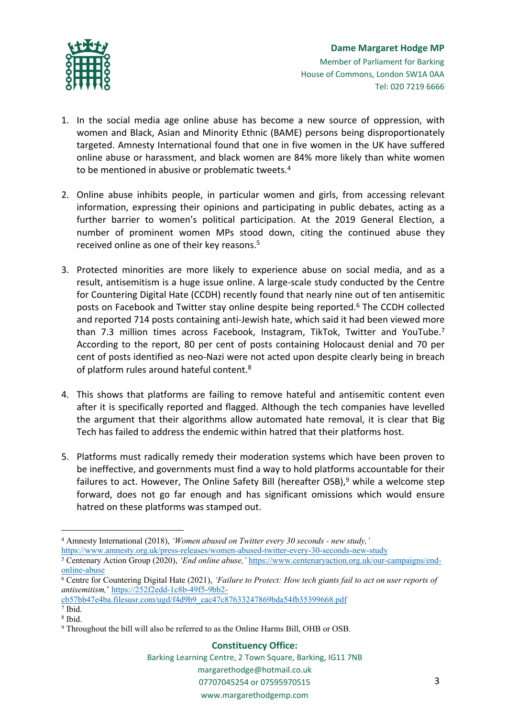

- 1. In the social media age online abuse has become a new source of oppression, with women and Black, Asian and Minority Ethnic (BAME) persons being disproportionately targeted. Amnesty International found that one in five women in the UK have suffered online abuse or harassment, and black women are 84% more likely than white women to be mentioned in abusive or problematic tweets.<sup>4</sup>
- 2. Online abuse inhibits people, in particular women and girls, from accessing relevant information, expressing their opinions and participating in public debates, acting as a further barrier to women's political participation. At the 2019 General Election, a number of prominent women MPs stood down, citing the continued abuse they received online as one of their key reasons.<sup>5</sup>
- 3. Protected minorities are more likely to experience abuse on social media, and as a result, antisemitism is a huge issue online. A large-scale study conducted by the Centre for Countering Digital Hate (CCDH) recently found that nearly nine out of ten antisemitic posts on Facebook and Twitter stay online despite being reported.<sup>6</sup> The CCDH collected and reported 714 posts containing anti-Jewish hate, which said it had been viewed more than 7.3 million times across Facebook, Instagram, TikTok, Twitter and YouTube.<sup>7</sup> According to the report, 80 per cent of posts containing Holocaust denial and 70 per cent of posts identified as neo-Nazi were not acted upon despite clearly being in breach of platform rules around hateful content.<sup>8</sup>
- 4. This shows that platforms are failing to remove hateful and antisemitic content even after it is specifically reported and flagged. Although the tech companies have levelled the argument that their algorithms allow automated hate removal, it is clear that Big Tech has failed to address the endemic within hatred that their platforms host.
- 5. Platforms must radically remedy their moderation systems which have been proven to be ineffective, and governments must find a way to hold platforms accountable for their failures to act. However, The Online Safety Bill (hereafter  $OSB$ ),  $9$  while a welcome step forward, does not go far enough and has significant omissions which would ensure hatred on these platforms was stamped out.

[cb57bb47e4ba.filesusr.com/ugd/f4d9b9\\_cac47c87633247869bda54fb35399668.pdf](https://252f2edd-1c8b-49f5-9bb2-cb57bb47e4ba.filesusr.com/ugd/f4d9b9_cac47c87633247869bda54fb35399668.pdf)

<sup>4</sup> Amnesty International (2018), *'Women abused on Twitter every 30 seconds - new study,'*

<https://www.amnesty.org.uk/press-releases/women-abused-twitter-every-30-seconds-new-study>

<sup>5</sup> Centenary Action Group (2020), *'End online abuse,'* [https://www.centenaryaction.org.uk/our-campaigns/end](https://www.centenaryaction.org.uk/our-campaigns/end-online-abuse)[online-abuse](https://www.centenaryaction.org.uk/our-campaigns/end-online-abuse)

<sup>6</sup> Centre for Countering Digital Hate (2021), *'Failure to Protect: How tech giants fail to act on user reports of antisemitism,*' [https://252f2edd-1c8b-49f5-9bb2-](https://252f2edd-1c8b-49f5-9bb2-cb57bb47e4ba.filesusr.com/ugd/f4d9b9_cac47c87633247869bda54fb35399668.pdf)

<sup>7</sup> Ibid. 8 Ibid.

<sup>9</sup> Throughout the bill will also be referred to as the Online Harms Bill, OHB or OSB.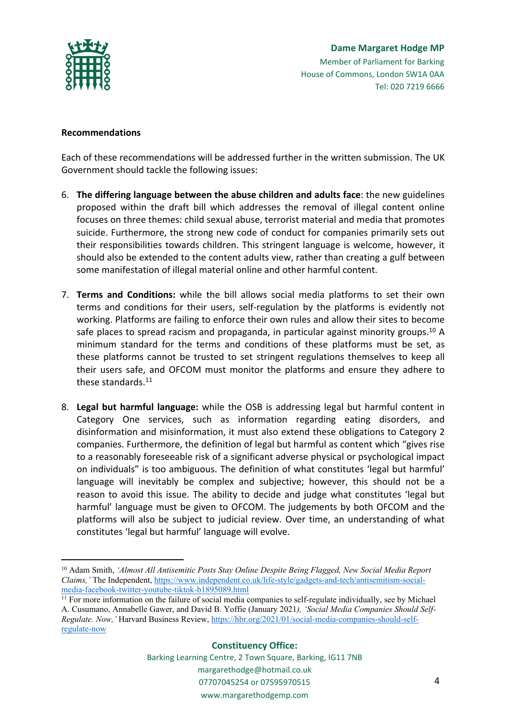

### **Recommendations**

Each of these recommendations will be addressed further in the written submission. The UK Government should tackle the following issues:

- 6. **The differing language between the abuse children and adults face**: the new guidelines proposed within the draft bill which addresses the removal of illegal content online focuses on three themes: child sexual abuse, terrorist material and media that promotes suicide. Furthermore, the strong new code of conduct for companies primarily sets out their responsibilities towards children. This stringent language is welcome, however, it should also be extended to the content adults view, rather than creating a gulf between some manifestation of illegal material online and other harmful content.
- 7. **Terms and Conditions:** while the bill allows social media platforms to set their own terms and conditions for their users, self-regulation by the platforms is evidently not working. Platforms are failing to enforce their own rules and allow their sites to become safe places to spread racism and propaganda, in particular against minority groups.<sup>10</sup> A minimum standard for the terms and conditions of these platforms must be set, as these platforms cannot be trusted to set stringent regulations themselves to keep all their users safe, and OFCOM must monitor the platforms and ensure they adhere to these standards.<sup>11</sup>
- 8. **Legal but harmful language:** while the OSB is addressing legal but harmful content in Category One services, such as information regarding eating disorders, and disinformation and misinformation, it must also extend these obligations to Category 2 companies. Furthermore, the definition of legal but harmful as content which "gives rise to a reasonably foreseeable risk of a significant adverse physical or psychological impact on individuals" is too ambiguous. The definition of what constitutes 'legal but harmful' language will inevitably be complex and subjective; however, this should not be a reason to avoid this issue. The ability to decide and judge what constitutes 'legal but harmful' language must be given to OFCOM. The judgements by both OFCOM and the platforms will also be subject to judicial review. Over time, an understanding of what constitutes 'legal but harmful' language will evolve.

<sup>10</sup> Adam Smith, *'Almost All Antisemitic Posts Stay Online Despite Being Flagged, New Social Media Report Claims,'* The Independent, [https://www.independent.co.uk/life-style/gadgets-and-tech/antisemitism-social](https://www.independent.co.uk/life-style/gadgets-and-tech/antisemitism-social-media-facebook-twitter-youtube-tiktok-b1895089.html)[media-facebook-twitter-youtube-tiktok-b1895089.html](https://www.independent.co.uk/life-style/gadgets-and-tech/antisemitism-social-media-facebook-twitter-youtube-tiktok-b1895089.html)

<sup>11</sup> For more information on the failure of social media companies to self-regulate individually, see by Michael A. Cusumano, Annabelle Gawer, and David B. Yoffie (January 2021*), 'Social Media Companies Should Self-Regulate. Now,'* Harvard Business Review, [https://hbr.org/2021/01/social-media-companies-should-self](https://hbr.org/2021/01/social-media-companies-should-self-regulate-now)[regulate-now](https://hbr.org/2021/01/social-media-companies-should-self-regulate-now)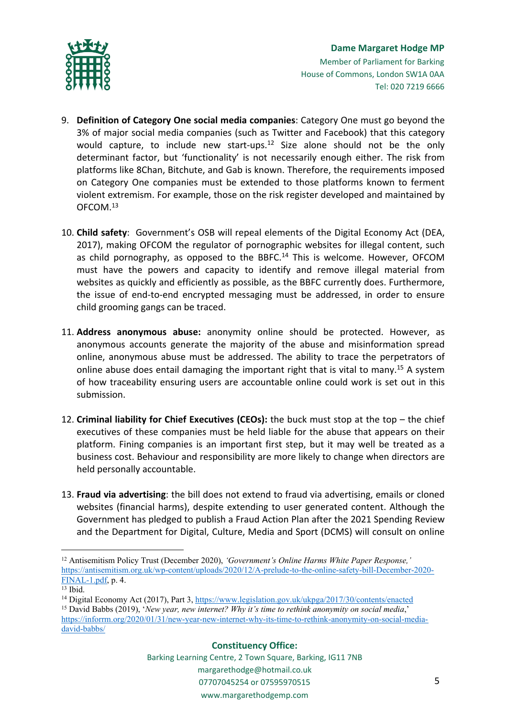

- 9. **Definition of Category One social media companies**: Category One must go beyond the 3% of major social media companies (such as Twitter and Facebook) that this category would capture, to include new start-ups.<sup>12</sup> Size alone should not be the only determinant factor, but 'functionality' is not necessarily enough either. The risk from platforms like 8Chan, Bitchute, and Gab is known. Therefore, the requirements imposed on Category One companies must be extended to those platforms known to ferment violent extremism. For example, those on the risk register developed and maintained by OFCOM.<sup>13</sup>
- 10. **Child safety**: Government's OSB will repeal elements of the Digital Economy Act (DEA, 2017), making OFCOM the regulator of pornographic websites for illegal content, such as child pornography, as opposed to the BBFC.<sup>14</sup> This is welcome. However, OFCOM must have the powers and capacity to identify and remove illegal material from websites as quickly and efficiently as possible, as the BBFC currently does. Furthermore, the issue of end-to-end encrypted messaging must be addressed, in order to ensure child grooming gangs can be traced.
- 11. **Address anonymous abuse:** anonymity online should be protected. However, as anonymous accounts generate the majority of the abuse and misinformation spread online, anonymous abuse must be addressed. The ability to trace the perpetrators of online abuse does entail damaging the important right that is vital to many.<sup>15</sup> A system of how traceability ensuring users are accountable online could work is set out in this submission.
- 12. **Criminal liability for Chief Executives (CEOs):** the buck must stop at the top the chief executives of these companies must be held liable for the abuse that appears on their platform. Fining companies is an important first step, but it may well be treated as a business cost. Behaviour and responsibility are more likely to change when directors are held personally accountable.
- 13. **Fraud via advertising**: the bill does not extend to fraud via advertising, emails or cloned websites (financial harms), despite extending to user generated content. Although the Government has pledged to publish a Fraud Action Plan after the 2021 Spending Review and the Department for Digital, Culture, Media and Sport (DCMS) will consult on online

<sup>12</sup> Antisemitism Policy Trust (December 2020), *'Government's Online Harms White Paper Response,'* [https://antisemitism.org.uk/wp-content/uploads/2020/12/A-prelude-to-the-online-safety-bill-December-2020-](https://antisemitism.org.uk/wp-content/uploads/2020/12/A-prelude-to-the-online-safety-bill-December-2020-FINAL-1.pdf) [FINAL-1.pdf,](https://antisemitism.org.uk/wp-content/uploads/2020/12/A-prelude-to-the-online-safety-bill-December-2020-FINAL-1.pdf) p. 4.

 $13$  Ibid.

<sup>14</sup> Digital Economy Act (2017), Part 3, <https://www.legislation.gov.uk/ukpga/2017/30/contents/enacted>

<sup>15</sup> David Babbs (2019), '*New year, new internet? Why it's time to rethink anonymity on social media*,'

[https://inforrm.org/2020/01/31/new-year-new-internet-why-its-time-to-rethink-anonymity-on-social-media](https://inforrm.org/2020/01/31/new-year-new-internet-why-its-time-to-rethink-anonymity-on-social-media-david-babbs/)[david-babbs/](https://inforrm.org/2020/01/31/new-year-new-internet-why-its-time-to-rethink-anonymity-on-social-media-david-babbs/)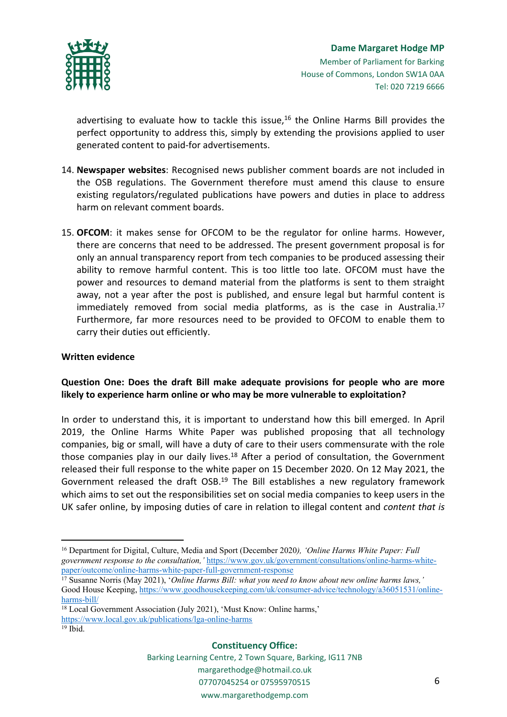

advertising to evaluate how to tackle this issue, $16$  the Online Harms Bill provides the perfect opportunity to address this, simply by extending the provisions applied to user generated content to paid-for advertisements.

- 14. **Newspaper websites**: Recognised news publisher comment boards are not included in the OSB regulations. The Government therefore must amend this clause to ensure existing regulators/regulated publications have powers and duties in place to address harm on relevant comment boards.
- 15. **OFCOM**: it makes sense for OFCOM to be the regulator for online harms. However, there are concerns that need to be addressed. The present government proposal is for only an annual transparency report from tech companies to be produced assessing their ability to remove harmful content. This is too little too late. OFCOM must have the power and resources to demand material from the platforms is sent to them straight away, not a year after the post is published, and ensure legal but harmful content is immediately removed from social media platforms, as is the case in Australia.<sup>17</sup> Furthermore, far more resources need to be provided to OFCOM to enable them to carry their duties out efficiently.

### **Written evidence**

## **Question One: Does the draft Bill make adequate provisions for people who are more likely to experience harm online or who may be more vulnerable to exploitation?**

In order to understand this, it is important to understand how this bill emerged. In April 2019, the Online Harms White Paper was published proposing that all technology companies, big or small, will have a duty of care to their users commensurate with the role those companies play in our daily lives. $18$  After a period of consultation, the Government released their full response to the white paper on 15 December 2020. On 12 May 2021, the Government released the draft OSB.<sup>19</sup> The Bill establishes a new regulatory framework which aims to set out the responsibilities set on social media companies to keep users in the UK safer online, by imposing duties of care in relation to illegal content and *content that is*

#### **Constituency Office:**

<sup>16</sup> Department for Digital, Culture, Media and Sport (December 2020*), 'Online Harms White Paper: Full government response to the consultation,'* [https://www.gov.uk/government/consultations/online-harms-white](https://www.gov.uk/government/consultations/online-harms-white-paper/outcome/online-harms-white-paper-full-government-response)[paper/outcome/online-harms-white-paper-full-government-response](https://www.gov.uk/government/consultations/online-harms-white-paper/outcome/online-harms-white-paper-full-government-response)

<sup>17</sup> Susanne Norris (May 2021), '*Online Harms Bill: what you need to know about new online harms laws,'* Good House Keeping, [https://www.goodhousekeeping.com/uk/consumer-advice/technology/a36051531/online](https://www.goodhousekeeping.com/uk/consumer-advice/technology/a36051531/online-harms-bill/)[harms-bill/](https://www.goodhousekeeping.com/uk/consumer-advice/technology/a36051531/online-harms-bill/)

<sup>18</sup> Local Government Association (July 2021), 'Must Know: Online harms,' <https://www.local.gov.uk/publications/lga-online-harms>  $19$  Ibid.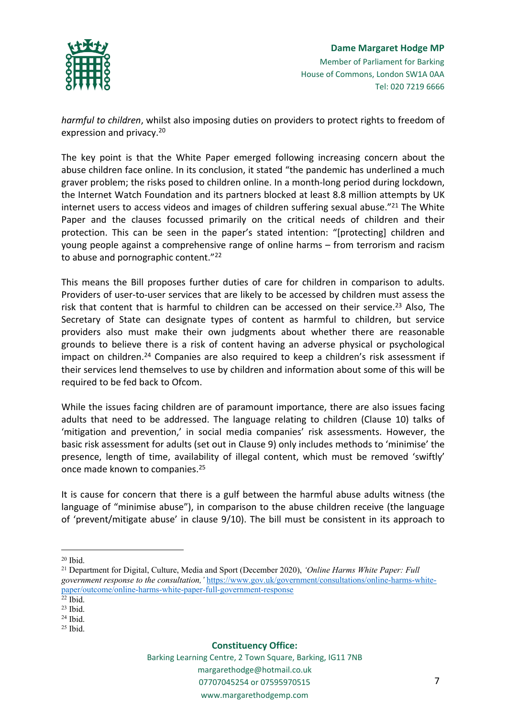

*harmful to children*, whilst also imposing duties on providers to protect rights to freedom of expression and privacy.<sup>20</sup>

The key point is that the White Paper emerged following increasing concern about the abuse children face online. In its conclusion, it stated "the pandemic has underlined a much graver problem; the risks posed to children online. In a month-long period during lockdown, the Internet Watch Foundation and its partners blocked at least 8.8 million attempts by UK internet users to access videos and images of children suffering sexual abuse."<sup>21</sup> The White Paper and the clauses focussed primarily on the critical needs of children and their protection. This can be seen in the paper's stated intention: "[protecting] children and young people against a comprehensive range of online harms – from terrorism and racism to abuse and pornographic content."<sup>22</sup>

This means the Bill proposes further duties of care for children in comparison to adults. Providers of user-to-user services that are likely to be accessed by children must assess the risk that content that is harmful to children can be accessed on their service.<sup>23</sup> Also, The Secretary of State can designate types of content as harmful to children, but service providers also must make their own judgments about whether there are reasonable grounds to believe there is a risk of content having an adverse physical or psychological impact on children.<sup>24</sup> Companies are also required to keep a children's risk assessment if their services lend themselves to use by children and information about some of this will be required to be fed back to Ofcom.

While the issues facing children are of paramount importance, there are also issues facing adults that need to be addressed. The language relating to children (Clause 10) talks of 'mitigation and prevention,' in social media companies' risk assessments. However, the basic risk assessment for adults (set out in Clause 9) only includes methods to 'minimise' the presence, length of time, availability of illegal content, which must be removed 'swiftly' once made known to companies.<sup>25</sup>

It is cause for concern that there is a gulf between the harmful abuse adults witness (the language of "minimise abuse"), in comparison to the abuse children receive (the language of 'prevent/mitigate abuse' in clause 9/10). The bill must be consistent in its approach to

 $20$  Ibid.

<sup>21</sup> Department for Digital, Culture, Media and Sport (December 2020), *'Online Harms White Paper: Full government response to the consultation,'* [https://www.gov.uk/government/consultations/online-harms-white](https://www.gov.uk/government/consultations/online-harms-white-paper/outcome/online-harms-white-paper-full-government-response)[paper/outcome/online-harms-white-paper-full-government-response](https://www.gov.uk/government/consultations/online-harms-white-paper/outcome/online-harms-white-paper-full-government-response)

<sup>22</sup> Ibid.

<sup>23</sup> Ibid.

 $24$  Ibid.

 $25$  Ibid.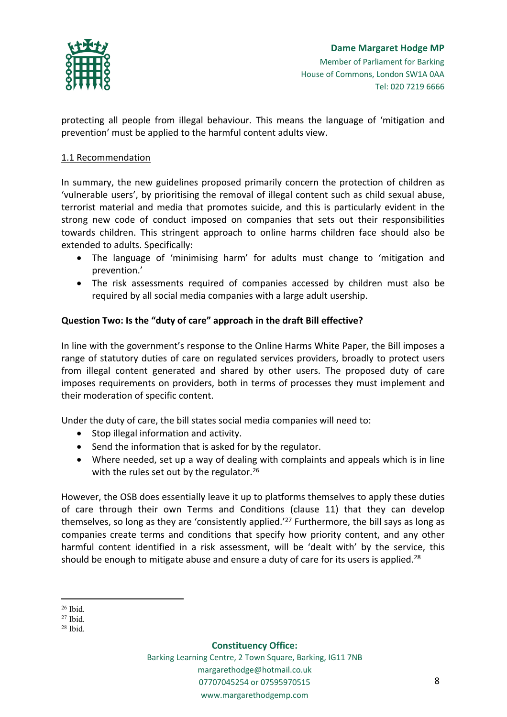

protecting all people from illegal behaviour. This means the language of 'mitigation and prevention' must be applied to the harmful content adults view.

## 1.1 Recommendation

In summary, the new guidelines proposed primarily concern the protection of children as 'vulnerable users', by prioritising the removal of illegal content such as child sexual abuse, terrorist material and media that promotes suicide, and this is particularly evident in the strong new code of conduct imposed on companies that sets out their responsibilities towards children. This stringent approach to online harms children face should also be extended to adults. Specifically:

- The language of 'minimising harm' for adults must change to 'mitigation and prevention.'
- The risk assessments required of companies accessed by children must also be required by all social media companies with a large adult usership.

## **Question Two: Is the "duty of care" approach in the draft Bill effective?**

In line with the government's response to the Online Harms White Paper, the Bill imposes a range of statutory duties of care on regulated services providers, broadly to protect users from illegal content generated and shared by other users. The proposed duty of care imposes requirements on providers, both in terms of processes they must implement and their moderation of specific content.

Under the duty of care, the bill states social media companies will need to:

- Stop illegal information and activity.
- Send the information that is asked for by the regulator.
- Where needed, set up a way of dealing with complaints and appeals which is in line with the rules set out by the regulator. $26$

However, the OSB does essentially leave it up to platforms themselves to apply these duties of care through their own Terms and Conditions (clause 11) that they can develop themselves, so long as they are 'consistently applied.'<sup>27</sup> Furthermore, the bill says as long as companies create terms and conditions that specify how priority content, and any other harmful content identified in a risk assessment, will be 'dealt with' by the service, this should be enough to mitigate abuse and ensure a duty of care for its users is applied.<sup>28</sup>

#### **Constituency Office:**

<sup>26</sup> Ibid.

 $27$  Ibid.

<sup>28</sup> Ibid.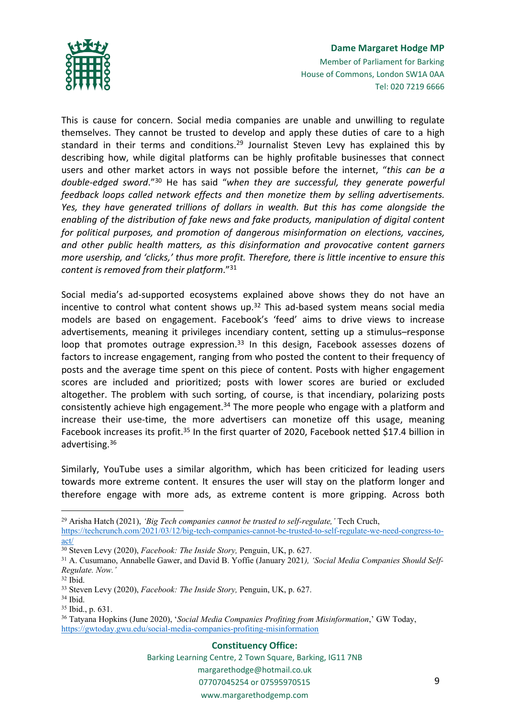

### **Dame Margaret Hodge MP** Member of Parliament for Barking House of Commons, London SW1A 0AA

Tel: 020 7219 6666

This is cause for concern. Social media companies are unable and unwilling to regulate themselves. They cannot be trusted to develop and apply these duties of care to a high standard in their terms and conditions.<sup>29</sup> Journalist Steven Levy has explained this by describing how, while digital platforms can be highly profitable businesses that connect users and other market actors in ways not possible before the internet, "*this can be a double-edged sword*."<sup>30</sup> He has said "*when they are successful, they generate powerful feedback loops called network effects and then monetize them by selling advertisements. Yes, they have generated trillions of dollars in wealth. But this has come alongside the enabling of the distribution of fake news and fake products, manipulation of digital content for political purposes, and promotion of dangerous misinformation on elections, vaccines, and other public health matters, as this disinformation and provocative content garners more usership, and 'clicks,' thus more profit. Therefore, there is little incentive to ensure this content is removed from their platform*."<sup>31</sup>

Social media's ad-supported ecosystems explained above shows they do not have an incentive to control what content shows up. $32$  This ad-based system means social media models are based on engagement. Facebook's 'feed' aims to drive views to increase advertisements, meaning it privileges incendiary content, setting up a stimulus–response loop that promotes outrage expression.<sup>33</sup> In this design, Facebook assesses dozens of factors to increase engagement, ranging from who posted the content to their frequency of posts and the average time spent on this piece of content. Posts with higher engagement scores are included and prioritized; posts with lower scores are buried or excluded altogether. The problem with such sorting, of course, is that incendiary, polarizing posts consistently achieve high engagement.<sup>34</sup> The more people who engage with a platform and increase their use-time, the more advertisers can monetize off this usage, meaning Facebook increases its profit.<sup>35</sup> In the first quarter of 2020, Facebook netted \$17.4 billion in advertising.<sup>36</sup>

Similarly, YouTube uses a similar algorithm, which has been criticized for leading users towards more extreme content. It ensures the user will stay on the platform longer and therefore engage with more ads, as extreme content is more gripping. Across both

#### **Constituency Office:**

<sup>29</sup> Arisha Hatch (2021), *'Big Tech companies cannot be trusted to self-regulate,'* Tech Cruch, [https://techcrunch.com/2021/03/12/big-tech-companies-cannot-be-trusted-to-self-regulate-we-need-congress-to](https://techcrunch.com/2021/03/12/big-tech-companies-cannot-be-trusted-to-self-regulate-we-need-congress-to-act/)[act/](https://techcrunch.com/2021/03/12/big-tech-companies-cannot-be-trusted-to-self-regulate-we-need-congress-to-act/)

<sup>30</sup> Steven Levy (2020), *Facebook: The Inside Story,* Penguin, UK, p. 627.

<sup>31</sup> A. Cusumano, Annabelle Gawer, and David B. Yoffie (January 2021*), 'Social Media Companies Should Self-Regulate. Now.'*

<sup>32</sup> Ibid.

<sup>33</sup> Steven Levy (2020), *Facebook: The Inside Story,* Penguin, UK, p. 627.

<sup>34</sup> Ibid.

<sup>35</sup> Ibid., p. 631.

<sup>36</sup> Tatyana Hopkins (June 2020), '*Social Media Companies Profiting from Misinformation*,' GW Today, <https://gwtoday.gwu.edu/social-media-companies-profiting-misinformation>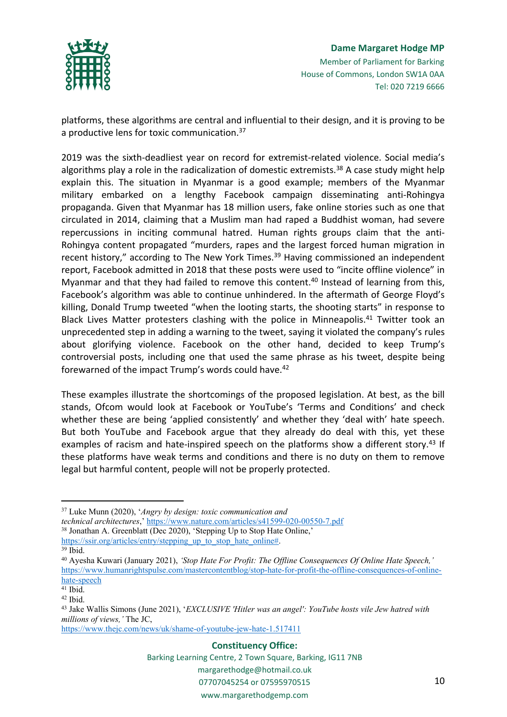

# **Dame Margaret Hodge MP** Member of Parliament for Barking House of Commons, London SW1A 0AA Tel: 020 7219 6666

platforms, these algorithms are central and influential to their design, and it is proving to be a productive lens for toxic communication.<sup>37</sup>

2019 was the sixth-deadliest year on record for extremist-related violence. Social media's algorithms play a role in the radicalization of domestic extremists.<sup>38</sup> A case study might help explain this. The situation in Myanmar is a good example; members of the Myanmar military embarked on a lengthy Facebook campaign disseminating anti-Rohingya propaganda. Given that Myanmar has 18 million users, fake online stories such as one that circulated in 2014, claiming that a Muslim man had raped a Buddhist woman, had severe repercussions in inciting communal hatred. Human rights groups claim that the anti-Rohingya content propagated "murders, rapes and the largest forced human migration in recent history," according to The New York Times.<sup>39</sup> Having commissioned an independent report, Facebook admitted in 2018 that these posts were used to "incite offline violence" in Myanmar and that they had failed to remove this content.<sup>40</sup> Instead of learning from this, Facebook's algorithm was able to continue unhindered. In the aftermath of George Floyd's killing, Donald Trump tweeted "when the looting starts, the shooting starts" in response to Black Lives Matter protesters clashing with the police in Minneapolis.<sup>41</sup> Twitter took an unprecedented step in adding a warning to the tweet, saying it violated the company's rules about glorifying violence. Facebook on the other hand, decided to keep Trump's controversial posts, including one that used the same phrase as his tweet, despite being forewarned of the impact Trump's words could have.<sup>42</sup>

These examples illustrate the shortcomings of the proposed legislation. At best, as the bill stands, Ofcom would look at Facebook or YouTube's 'Terms and Conditions' and check whether these are being 'applied consistently' and whether they 'deal with' hate speech. But both YouTube and Facebook argue that they already do deal with this, yet these examples of racism and hate-inspired speech on the platforms show a different story.<sup>43</sup> If these platforms have weak terms and conditions and there is no duty on them to remove legal but harmful content, people will not be properly protected.

*technical architectures*,' <https://www.nature.com/articles/s41599-020-00550-7.pdf> <sup>38</sup> Jonathan A. Greenblatt (Dec 2020), 'Stepping Up to Stop Hate Online,'

[https://ssir.org/articles/entry/stepping\\_up\\_to\\_stop\\_hate\\_online#](https://ssir.org/articles/entry/stepping_up_to_stop_hate_online). <sup>39</sup> Ibid.

<https://www.thejc.com/news/uk/shame-of-youtube-jew-hate-1.517411>

#### **Constituency Office:**

Barking Learning Centre, 2 Town Square, Barking, IG11 7NB margarethodge@hotmail.co.uk 07707045254 or 07595970515

#### www.margarethodgemp.com

<sup>37</sup> Luke Munn (2020), '*Angry by design: toxic communication and*

<sup>40</sup> Ayesha Kuwari (January 2021), *'Stop Hate For Profit: The Offline Consequences Of Online Hate Speech,'* [https://www.humanrightspulse.com/mastercontentblog/stop-hate-for-profit-the-offline-consequences-of-online](https://www.humanrightspulse.com/mastercontentblog/stop-hate-for-profit-the-offline-consequences-of-online-hate-speech)[hate-speech](https://www.humanrightspulse.com/mastercontentblog/stop-hate-for-profit-the-offline-consequences-of-online-hate-speech)

<sup>41</sup> Ibid.

<sup>42</sup> Ibid.

<sup>43</sup> Jake Wallis Simons (June 2021), '*EXCLUSIVE 'Hitler was an angel': YouTube hosts vile Jew hatred with millions of views,'* The JC,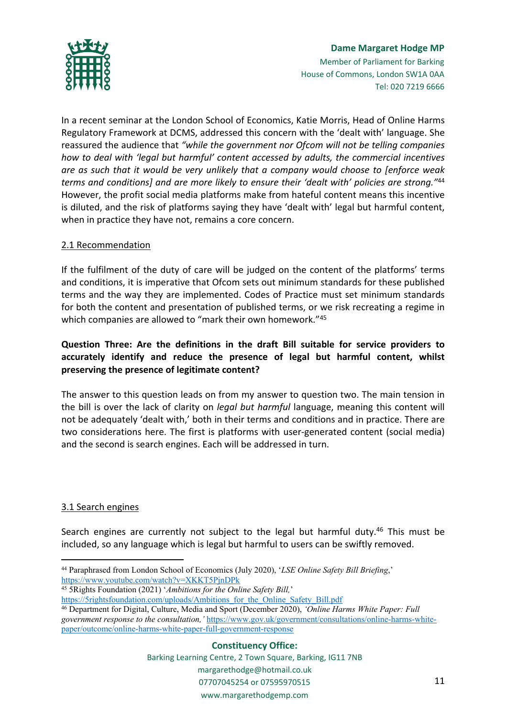

In a recent seminar at the London School of Economics, Katie Morris, Head of Online Harms Regulatory Framework at DCMS, addressed this concern with the 'dealt with' language. She reassured the audience that *"while the government nor Ofcom will not be telling companies how to deal with 'legal but harmful' content accessed by adults, the commercial incentives are as such that it would be very unlikely that a company would choose to [enforce weak terms and conditions] and are more likely to ensure their 'dealt with' policies are strong."*<sup>44</sup> However, the profit social media platforms make from hateful content means this incentive is diluted, and the risk of platforms saying they have 'dealt with' legal but harmful content, when in practice they have not, remains a core concern.

## 2.1 Recommendation

If the fulfilment of the duty of care will be judged on the content of the platforms' terms and conditions, it is imperative that Ofcom sets out minimum standards for these published terms and the way they are implemented. Codes of Practice must set minimum standards for both the content and presentation of published terms, or we risk recreating a regime in which companies are allowed to "mark their own homework."<sup>45</sup>

# **Question Three: Are the definitions in the draft Bill suitable for service providers to accurately identify and reduce the presence of legal but harmful content, whilst preserving the presence of legitimate content?**

The answer to this question leads on from my answer to question two. The main tension in the bill is over the lack of clarity on *legal but harmful* language, meaning this content will not be adequately 'dealt with,' both in their terms and conditions and in practice. There are two considerations here. The first is platforms with user-generated content (social media) and the second is search engines. Each will be addressed in turn.

## 3.1 Search engines

Search engines are currently not subject to the legal but harmful duty. $46$  This must be included, so any language which is legal but harmful to users can be swiftly removed.

<sup>44</sup> Paraphrased from London School of Economics (July 2020), '*LSE Online Safety Bill Briefing*,' <https://www.youtube.com/watch?v=XKKT5PjnDPk>

<sup>45</sup> 5Rights Foundation (2021) '*Ambitions for the Online Safety Bill,*'

[https://5rightsfoundation.com/uploads/Ambitions\\_for\\_the\\_Online\\_Safety\\_Bill.pdf](https://5rightsfoundation.com/uploads/Ambitions_for_the_Online_Safety_Bill.pdf)

<sup>46</sup> Department for Digital, Culture, Media and Sport (December 2020), *'Online Harms White Paper: Full government response to the consultation,'* [https://www.gov.uk/government/consultations/online-harms-white](https://www.gov.uk/government/consultations/online-harms-white-paper/outcome/online-harms-white-paper-full-government-response)[paper/outcome/online-harms-white-paper-full-government-response](https://www.gov.uk/government/consultations/online-harms-white-paper/outcome/online-harms-white-paper-full-government-response)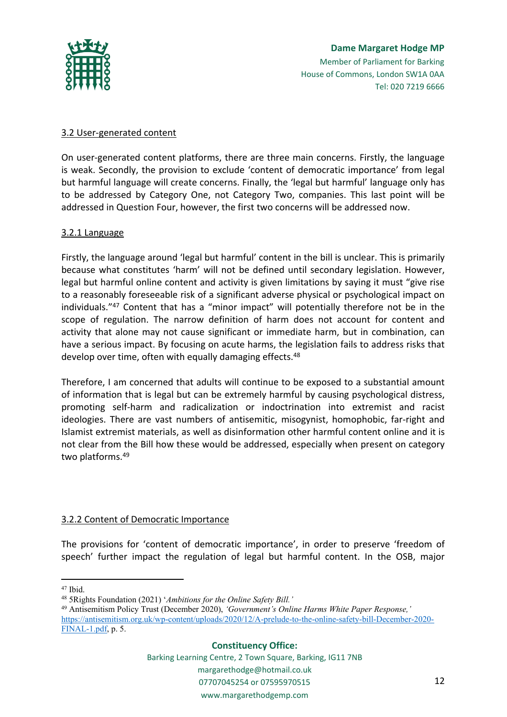

# **Dame Margaret Hodge MP** Member of Parliament for Barking House of Commons, London SW1A 0AA Tel: 020 7219 6666

## 3.2 User-generated content

On user-generated content platforms, there are three main concerns. Firstly, the language is weak. Secondly, the provision to exclude 'content of democratic importance' from legal but harmful language will create concerns. Finally, the 'legal but harmful' language only has to be addressed by Category One, not Category Two, companies. This last point will be addressed in Question Four, however, the first two concerns will be addressed now.

## 3.2.1 Language

Firstly, the language around 'legal but harmful' content in the bill is unclear. This is primarily because what constitutes 'harm' will not be defined until secondary legislation. However, legal but harmful online content and activity is given limitations by saying it must "give rise to a reasonably foreseeable risk of a significant adverse physical or psychological impact on individuals."<sup>47</sup> Content that has a "minor impact" will potentially therefore not be in the scope of regulation. The narrow definition of harm does not account for content and activity that alone may not cause significant or immediate harm, but in combination, can have a serious impact. By focusing on acute harms, the legislation fails to address risks that develop over time, often with equally damaging effects.<sup>48</sup>

Therefore, I am concerned that adults will continue to be exposed to a substantial amount of information that is legal but can be extremely harmful by causing psychological distress, promoting self-harm and radicalization or indoctrination into extremist and racist ideologies. There are vast numbers of antisemitic, misogynist, homophobic, far-right and Islamist extremist materials, as well as disinformation other harmful content online and it is not clear from the Bill how these would be addressed, especially when present on category two platforms.<sup>49</sup>

## 3.2.2 Content of Democratic Importance

The provisions for 'content of democratic importance', in order to preserve 'freedom of speech' further impact the regulation of legal but harmful content. In the OSB, major

<sup>47</sup> Ibid.

<sup>49</sup> Antisemitism Policy Trust (December 2020), *'Government's Online Harms White Paper Response,'* [https://antisemitism.org.uk/wp-content/uploads/2020/12/A-prelude-to-the-online-safety-bill-December-2020-](https://antisemitism.org.uk/wp-content/uploads/2020/12/A-prelude-to-the-online-safety-bill-December-2020-FINAL-1.pdf) [FINAL-1.pdf,](https://antisemitism.org.uk/wp-content/uploads/2020/12/A-prelude-to-the-online-safety-bill-December-2020-FINAL-1.pdf) p. 5.

### **Constituency Office:**

<sup>48</sup> 5Rights Foundation (2021) '*Ambitions for the Online Safety Bill.'*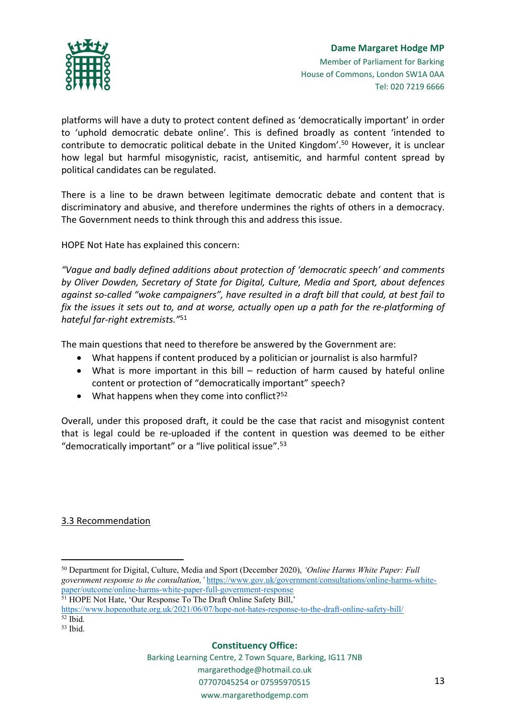

platforms will have a duty to protect content defined as 'democratically important' in order to 'uphold democratic debate online'. This is defined broadly as content 'intended to contribute to democratic political debate in the United Kingdom'.<sup>50</sup> However, it is unclear how legal but harmful misogynistic, racist, antisemitic, and harmful content spread by political candidates can be regulated.

There is a line to be drawn between legitimate democratic debate and content that is discriminatory and abusive, and therefore undermines the rights of others in a democracy. The Government needs to think through this and address this issue.

HOPE Not Hate has explained this concern:

*"Vague and badly defined additions about protection of 'democratic speech' and comments by Oliver Dowden, Secretary of State for Digital, Culture, Media and Sport, about defences against so-called "woke campaigners", have resulted in a draft bill that could, at best fail to* fix the issues it sets out to, and at worse, actually open up a path for the re-platforming of *hateful far-right extremists."*<sup>51</sup>

The main questions that need to therefore be answered by the Government are:

- What happens if content produced by a politician or journalist is also harmful?
- What is more important in this bill reduction of harm caused by hateful online content or protection of "democratically important" speech?
- $\bullet$  What happens when they come into conflict?<sup>52</sup>

Overall, under this proposed draft, it could be the case that racist and misogynist content that is legal could be re-uploaded if the content in question was deemed to be either "democratically important" or a "live political issue".<sup>53</sup>

3.3 Recommendation

### **Constituency Office:**

<sup>50</sup> Department for Digital, Culture, Media and Sport (December 2020), *'Online Harms White Paper: Full government response to the consultation,'* [https://www.gov.uk/government/consultations/online-harms-white](https://www.gov.uk/government/consultations/online-harms-white-paper/outcome/online-harms-white-paper-full-government-response)[paper/outcome/online-harms-white-paper-full-government-response](https://www.gov.uk/government/consultations/online-harms-white-paper/outcome/online-harms-white-paper-full-government-response)

<sup>51</sup> HOPE Not Hate, 'Our Response To The Draft Online Safety Bill,'

<https://www.hopenothate.org.uk/2021/06/07/hope-not-hates-response-to-the-draft-online-safety-bill/>  $52$  Ibid.

<sup>53</sup> Ibid.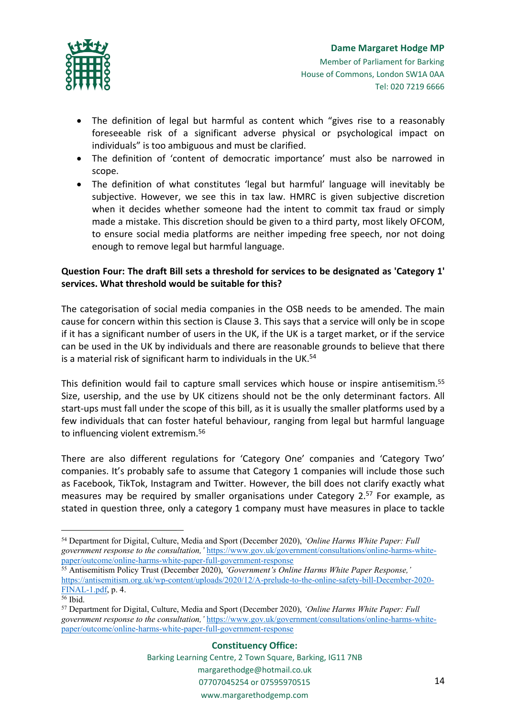

- The definition of legal but harmful as content which "gives rise to a reasonably foreseeable risk of a significant adverse physical or psychological impact on individuals" is too ambiguous and must be clarified.
- The definition of 'content of democratic importance' must also be narrowed in scope.
- The definition of what constitutes 'legal but harmful' language will inevitably be subjective. However, we see this in tax law. HMRC is given subjective discretion when it decides whether someone had the intent to commit tax fraud or simply made a mistake. This discretion should be given to a third party, most likely OFCOM, to ensure social media platforms are neither impeding free speech, nor not doing enough to remove legal but harmful language.

# **Question Four: The draft Bill sets a threshold for services to be designated as 'Category 1' services. What threshold would be suitable for this?**

The categorisation of social media companies in the OSB needs to be amended. The main cause for concern within this section is Clause 3. This says that a service will only be in scope if it has a significant number of users in the UK, if the UK is a target market, or if the service can be used in the UK by individuals and there are reasonable grounds to believe that there is a material risk of significant harm to individuals in the UK.<sup>54</sup>

This definition would fail to capture small services which house or inspire antisemitism.<sup>55</sup> Size, usership, and the use by UK citizens should not be the only determinant factors. All start-ups must fall under the scope of this bill, as it is usually the smaller platforms used by a few individuals that can foster hateful behaviour, ranging from legal but harmful language to influencing violent extremism.<sup>56</sup>

There are also different regulations for 'Category One' companies and 'Category Two' companies. It's probably safe to assume that Category 1 companies will include those such as Facebook, TikTok, Instagram and Twitter. However, the bill does not clarify exactly what measures may be required by smaller organisations under Category 2.<sup>57</sup> For example, as stated in question three, only a category 1 company must have measures in place to tackle

<sup>54</sup> Department for Digital, Culture, Media and Sport (December 2020), *'Online Harms White Paper: Full government response to the consultation,'* [https://www.gov.uk/government/consultations/online-harms-white](https://www.gov.uk/government/consultations/online-harms-white-paper/outcome/online-harms-white-paper-full-government-response)[paper/outcome/online-harms-white-paper-full-government-response](https://www.gov.uk/government/consultations/online-harms-white-paper/outcome/online-harms-white-paper-full-government-response)

<sup>55</sup> Antisemitism Policy Trust (December 2020), *'Government's Online Harms White Paper Response,'* [https://antisemitism.org.uk/wp-content/uploads/2020/12/A-prelude-to-the-online-safety-bill-December-2020-](https://antisemitism.org.uk/wp-content/uploads/2020/12/A-prelude-to-the-online-safety-bill-December-2020-FINAL-1.pdf) [FINAL-1.pdf,](https://antisemitism.org.uk/wp-content/uploads/2020/12/A-prelude-to-the-online-safety-bill-December-2020-FINAL-1.pdf) p. 4.

<sup>56</sup> Ibid.

<sup>57</sup> Department for Digital, Culture, Media and Sport (December 2020), *'Online Harms White Paper: Full government response to the consultation,'* [https://www.gov.uk/government/consultations/online-harms-white](https://www.gov.uk/government/consultations/online-harms-white-paper/outcome/online-harms-white-paper-full-government-response)[paper/outcome/online-harms-white-paper-full-government-response](https://www.gov.uk/government/consultations/online-harms-white-paper/outcome/online-harms-white-paper-full-government-response)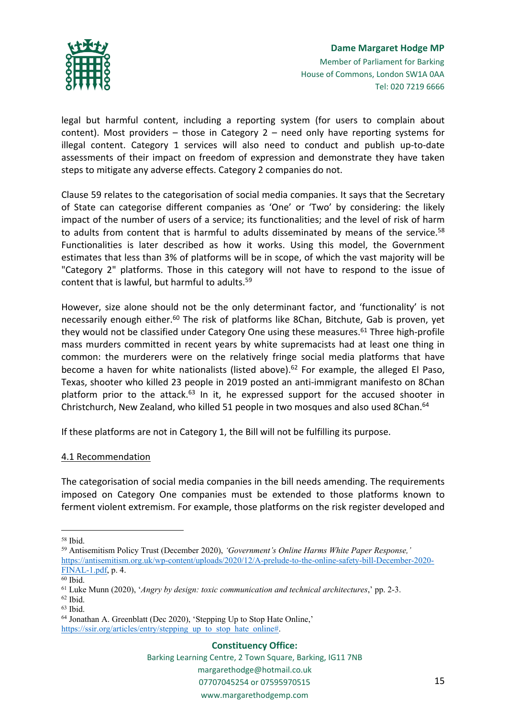

legal but harmful content, including a reporting system (for users to complain about content). Most providers – those in Category 2 – need only have reporting systems for illegal content. Category 1 services will also need to conduct and publish up-to-date assessments of their impact on freedom of expression and demonstrate they have taken steps to mitigate any adverse effects. Category 2 companies do not.

Clause 59 relates to the categorisation of social media companies. It says that the Secretary of State can categorise different companies as 'One' or 'Two' by considering: the likely impact of the number of users of a service; its functionalities; and the level of risk of harm to adults from content that is harmful to adults disseminated by means of the service.<sup>58</sup> Functionalities is later described as how it works. Using this model, the Government estimates that less than 3% of platforms will be in scope, of which the vast majority will be "Category 2" platforms. Those in this category will not have to respond to the issue of content that is lawful, but harmful to adults.<sup>59</sup>

However, size alone should not be the only determinant factor, and 'functionality' is not necessarily enough either.<sup>60</sup> The risk of platforms like 8Chan, Bitchute, Gab is proven, yet they would not be classified under Category One using these measures. $61$  Three high-profile mass murders committed in recent years by white supremacists had at least one thing in common: the murderers were on the relatively fringe social media platforms that have become a haven for white nationalists (listed above).<sup>62</sup> For example, the alleged El Paso, Texas, shooter who killed 23 people in 2019 posted an anti-immigrant manifesto on 8Chan platform prior to the attack. $63$  In it, he expressed support for the accused shooter in Christchurch, New Zealand, who killed 51 people in two mosques and also used 8Chan.<sup>64</sup>

If these platforms are not in Category 1, the Bill will not be fulfilling its purpose.

### 4.1 Recommendation

The categorisation of social media companies in the bill needs amending. The requirements imposed on Category One companies must be extended to those platforms known to ferment violent extremism. For example, those platforms on the risk register developed and

#### **Constituency Office:**

<sup>58</sup> Ibid.

<sup>59</sup> Antisemitism Policy Trust (December 2020), *'Government's Online Harms White Paper Response,'* [https://antisemitism.org.uk/wp-content/uploads/2020/12/A-prelude-to-the-online-safety-bill-December-2020-](https://antisemitism.org.uk/wp-content/uploads/2020/12/A-prelude-to-the-online-safety-bill-December-2020-FINAL-1.pdf) [FINAL-1.pdf,](https://antisemitism.org.uk/wp-content/uploads/2020/12/A-prelude-to-the-online-safety-bill-December-2020-FINAL-1.pdf) p. 4.

<sup>60</sup> Ibid.

<sup>61</sup> Luke Munn (2020), '*Angry by design: toxic communication and technical architectures*,' pp. 2-3.

<sup>62</sup> Ibid.

<sup>63</sup> Ibid.

<sup>64</sup> Jonathan A. Greenblatt (Dec 2020), 'Stepping Up to Stop Hate Online,' [https://ssir.org/articles/entry/stepping\\_up\\_to\\_stop\\_hate\\_online#](https://ssir.org/articles/entry/stepping_up_to_stop_hate_online).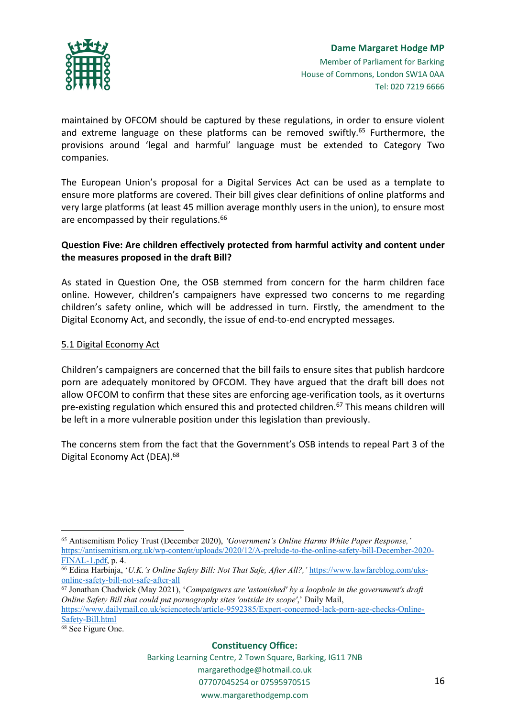

maintained by OFCOM should be captured by these regulations, in order to ensure violent and extreme language on these platforms can be removed swiftly.<sup>65</sup> Furthermore, the provisions around 'legal and harmful' language must be extended to Category Two companies.

The European Union's proposal for a Digital Services Act can be used as a template to ensure more platforms are covered. Their bill gives clear definitions of online platforms and very large platforms (at least 45 million average monthly users in the union), to ensure most are encompassed by their regulations.<sup>66</sup>

## **Question Five: Are children effectively protected from harmful activity and content under the measures proposed in the draft Bill?**

As stated in Question One, the OSB stemmed from concern for the harm children face online. However, children's campaigners have expressed two concerns to me regarding children's safety online, which will be addressed in turn. Firstly, the amendment to the Digital Economy Act, and secondly, the issue of end-to-end encrypted messages.

## 5.1 Digital Economy Act

Children's campaigners are concerned that the bill fails to ensure sites that publish hardcore porn are adequately monitored by OFCOM. They have argued that the draft bill does not allow OFCOM to confirm that these sites are enforcing age-verification tools, as it overturns pre-existing regulation which ensured this and protected children.<sup>67</sup> This means children will be left in a more vulnerable position under this legislation than previously.

The concerns stem from the fact that the Government's OSB intends to repeal Part 3 of the Digital Economy Act (DEA).<sup>68</sup>

#### **Constituency Office:**

<sup>65</sup> Antisemitism Policy Trust (December 2020), *'Government's Online Harms White Paper Response,'* [https://antisemitism.org.uk/wp-content/uploads/2020/12/A-prelude-to-the-online-safety-bill-December-2020-](https://antisemitism.org.uk/wp-content/uploads/2020/12/A-prelude-to-the-online-safety-bill-December-2020-FINAL-1.pdf) [FINAL-1.pdf,](https://antisemitism.org.uk/wp-content/uploads/2020/12/A-prelude-to-the-online-safety-bill-December-2020-FINAL-1.pdf) p. 4.

<sup>66</sup> Edina Harbinja, '*U.K.'s Online Safety Bill: Not That Safe, After All?,'* [https://www.lawfareblog.com/uks](https://www.lawfareblog.com/uks-online-safety-bill-not-safe-after-all)[online-safety-bill-not-safe-after-all](https://www.lawfareblog.com/uks-online-safety-bill-not-safe-after-all)

<sup>67</sup> Jonathan Chadwick (May 2021), '*Campaigners are 'astonished' by a loophole in the government's draft Online Safety Bill that could put pornography sites 'outside its scope'*,' Daily Mail,

[https://www.dailymail.co.uk/sciencetech/article-9592385/Expert-concerned-lack-porn-age-checks-Online-](https://www.dailymail.co.uk/sciencetech/article-9592385/Expert-concerned-lack-porn-age-checks-Online-Safety-Bill.html)[Safety-Bill.html](https://www.dailymail.co.uk/sciencetech/article-9592385/Expert-concerned-lack-porn-age-checks-Online-Safety-Bill.html)

<sup>68</sup> See Figure One.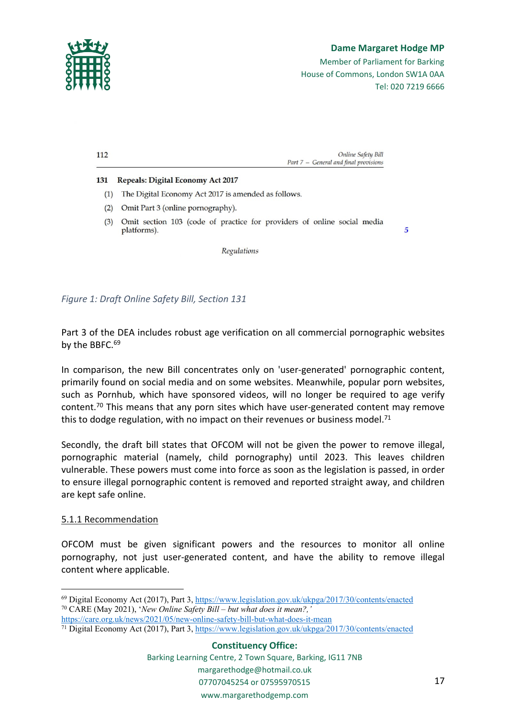

*Figure 1: Draft Online Safety Bill, Section 131*

Part 3 of the DEA includes robust age verification on all commercial pornographic websites by the BBFC.<sup>69</sup>

In comparison, the new Bill concentrates only on 'user-generated' pornographic content, primarily found on social media and on some websites. Meanwhile, popular porn websites, such as Pornhub, which have sponsored videos, will no longer be required to age verify content.<sup>70</sup> This means that any porn sites which have user-generated content may remove this to dodge regulation, with no impact on their revenues or business model.<sup>71</sup>

Secondly, the draft bill states that OFCOM will not be given the power to remove illegal, pornographic material (namely, child pornography) until 2023. This leaves children vulnerable. These powers must come into force as soon as the legislation is passed, in order to ensure illegal pornographic content is removed and reported straight away, and children are kept safe online.

### 5.1.1 Recommendation

OFCOM must be given significant powers and the resources to monitor all online pornography, not just user-generated content, and have the ability to remove illegal content where applicable.

- <sup>70</sup> CARE (May 2021), '*New Online Safety Bill – but what does it mean?,'*
- <https://care.org.uk/news/2021/05/new-online-safety-bill-but-what-does-it-mean>
- <sup>71</sup> Digital Economy Act (2017), Part 3, <https://www.legislation.gov.uk/ukpga/2017/30/contents/enacted>

<sup>69</sup> Digital Economy Act (2017), Part 3, <https://www.legislation.gov.uk/ukpga/2017/30/contents/enacted>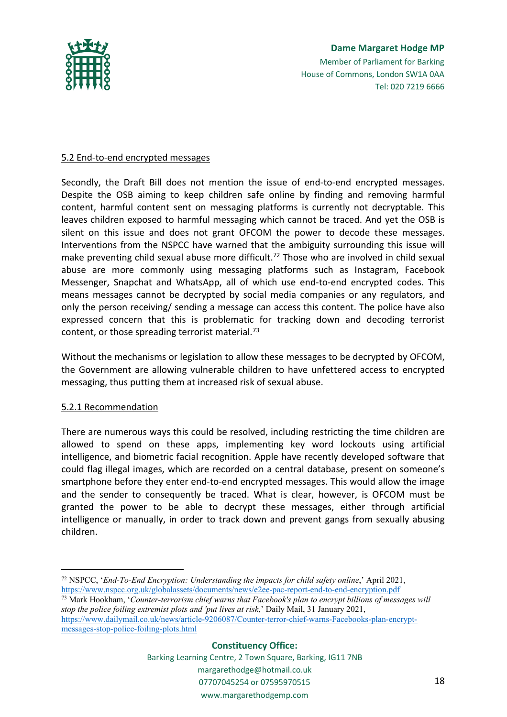

# **Dame Margaret Hodge MP** Member of Parliament for Barking House of Commons, London SW1A 0AA Tel: 020 7219 6666

### 5.2 End-to-end encrypted messages

Secondly, the Draft Bill does not mention the issue of end-to-end encrypted messages. Despite the OSB aiming to keep children safe online by finding and removing harmful content, harmful content sent on messaging platforms is currently not decryptable. This leaves children exposed to harmful messaging which cannot be traced. And yet the OSB is silent on this issue and does not grant OFCOM the power to decode these messages. Interventions from the NSPCC have warned that the ambiguity surrounding this issue will make preventing child sexual abuse more difficult.<sup>72</sup> Those who are involved in child sexual abuse are more commonly using messaging platforms such as Instagram, Facebook Messenger, Snapchat and WhatsApp, all of which use end-to-end encrypted codes. This means messages cannot be decrypted by social media companies or any regulators, and only the person receiving/ sending a message can access this content. The police have also expressed concern that this is problematic for tracking down and decoding terrorist content, or those spreading terrorist material.<sup>73</sup>

Without the mechanisms or legislation to allow these messages to be decrypted by OFCOM, the Government are allowing vulnerable children to have unfettered access to encrypted messaging, thus putting them at increased risk of sexual abuse.

### 5.2.1 Recommendation

There are numerous ways this could be resolved, including restricting the time children are allowed to spend on these apps, implementing key word lockouts using artificial intelligence, and biometric facial recognition. Apple have recently developed software that could flag illegal images, which are recorded on a central database, present on someone's smartphone before they enter end-to-end encrypted messages. This would allow the image and the sender to consequently be traced. What is clear, however, is OFCOM must be granted the power to be able to decrypt these messages, either through artificial intelligence or manually, in order to track down and prevent gangs from sexually abusing children.

<sup>73</sup> Mark Hookham, '*Counter-terrorism chief warns that Facebook's plan to encrypt billions of messages will stop the police foiling extremist plots and 'put lives at risk*,' Daily Mail, 31 January 2021, [https://www.dailymail.co.uk/news/article-9206087/Counter-terror-chief-warns-Facebooks-plan-encrypt](https://www.dailymail.co.uk/news/article-9206087/Counter-terror-chief-warns-Facebooks-plan-encrypt-messages-stop-police-foiling-plots.html)[messages-stop-police-foiling-plots.html](https://www.dailymail.co.uk/news/article-9206087/Counter-terror-chief-warns-Facebooks-plan-encrypt-messages-stop-police-foiling-plots.html)

### **Constituency Office:**

<sup>72</sup> NSPCC, '*End-To-End Encryption: Understanding the impacts for child safety online*,' April 2021, <https://www.nspcc.org.uk/globalassets/documents/news/e2ee-pac-report-end-to-end-encryption.pdf>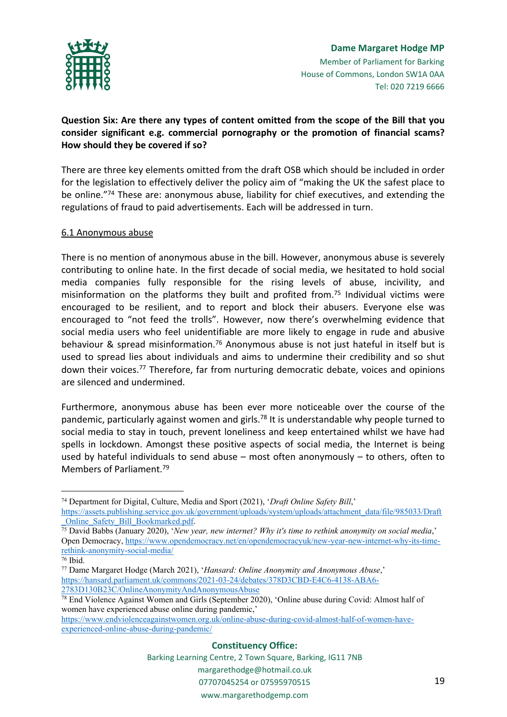

# **Question Six: Are there any types of content omitted from the scope of the Bill that you consider significant e.g. commercial pornography or the promotion of financial scams? How should they be covered if so?**

There are three key elements omitted from the draft OSB which should be included in order for the legislation to effectively deliver the policy aim of "making the UK the safest place to be online."<sup>74</sup> These are: anonymous abuse, liability for chief executives, and extending the regulations of fraud to paid advertisements. Each will be addressed in turn.

## 6.1 Anonymous abuse

There is no mention of anonymous abuse in the bill. However, anonymous abuse is severely contributing to online hate. In the first decade of social media, we hesitated to hold social media companies fully responsible for the rising levels of abuse, incivility, and misinformation on the platforms they built and profited from.<sup>75</sup> Individual victims were encouraged to be resilient, and to report and block their abusers. Everyone else was encouraged to "not feed the trolls". However, now there's overwhelming evidence that social media users who feel unidentifiable are more likely to engage in rude and abusive behaviour & spread misinformation.<sup>76</sup> Anonymous abuse is not just hateful in itself but is used to spread lies about individuals and aims to undermine their credibility and so shut down their voices.<sup>77</sup> Therefore, far from nurturing democratic debate, voices and opinions are silenced and undermined.

Furthermore, anonymous abuse has been ever more noticeable over the course of the pandemic, particularly against women and girls.<sup>78</sup> It is understandable why people turned to social media to stay in touch, prevent loneliness and keep entertained whilst we have had spells in lockdown. Amongst these positive aspects of social media, the Internet is being used by hateful individuals to send abuse – most often anonymously – to others, often to Members of Parliament.<sup>79</sup>

#### **Constituency Office:**

<sup>74</sup> Department for Digital, Culture, Media and Sport (2021), '*Draft Online Safety Bill*,' [https://assets.publishing.service.gov.uk/government/uploads/system/uploads/attachment\\_data/file/985033/Draft](https://assets.publishing.service.gov.uk/government/uploads/system/uploads/attachment_data/file/985033/Draft_Online_Safety_Bill_Bookmarked.pdf) [\\_Online\\_Safety\\_Bill\\_Bookmarked.pdf](https://assets.publishing.service.gov.uk/government/uploads/system/uploads/attachment_data/file/985033/Draft_Online_Safety_Bill_Bookmarked.pdf).

<sup>75</sup> David Babbs (January 2020), '*New year, new internet? Why it's time to rethink anonymity on social media*,' Open Democracy, [https://www.opendemocracy.net/en/opendemocracyuk/new-year-new-internet-why-its-time](https://www.opendemocracy.net/en/opendemocracyuk/new-year-new-internet-why-its-time-rethink-anonymity-social-media/)[rethink-anonymity-social-media/](https://www.opendemocracy.net/en/opendemocracyuk/new-year-new-internet-why-its-time-rethink-anonymity-social-media/)

<sup>76</sup> Ibid.

<sup>77</sup> Dame Margaret Hodge (March 2021), '*Hansard: Online Anonymity and Anonymous Abuse*,' [https://hansard.parliament.uk/commons/2021-03-24/debates/378D3CBD-E4C6-4138-ABA6-](https://hansard.parliament.uk/commons/2021-03-24/debates/378D3CBD-E4C6-4138-ABA6-2783D130B23C/OnlineAnonymityAndAnonymousAbuse) [2783D130B23C/OnlineAnonymityAndAnonymousAbuse](https://hansard.parliament.uk/commons/2021-03-24/debates/378D3CBD-E4C6-4138-ABA6-2783D130B23C/OnlineAnonymityAndAnonymousAbuse)

<sup>78</sup> End Violence Against Women and Girls (September 2020), 'Online abuse during Covid: Almost half of women have experienced abuse online during pandemic,'

[https://www.endviolenceagainstwomen.org.uk/online-abuse-during-covid-almost-half-of-women-have](https://www.endviolenceagainstwomen.org.uk/online-abuse-during-covid-almost-half-of-women-have-experienced-online-abuse-during-pandemic/)[experienced-online-abuse-during-pandemic/](https://www.endviolenceagainstwomen.org.uk/online-abuse-during-covid-almost-half-of-women-have-experienced-online-abuse-during-pandemic/)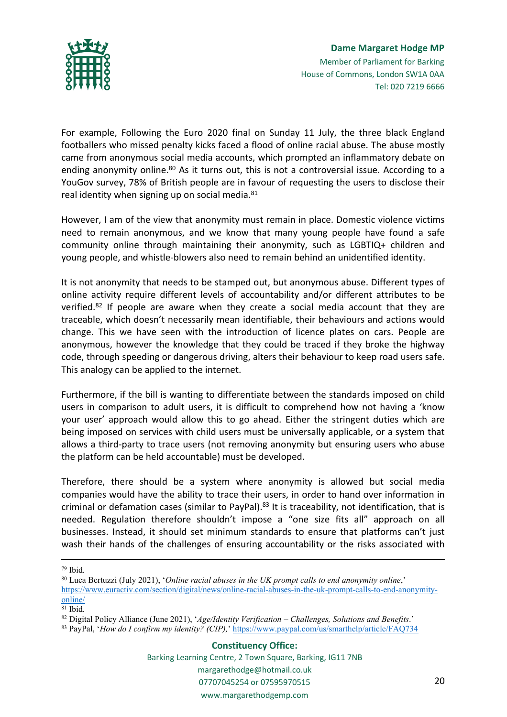

For example, Following the Euro 2020 final on Sunday 11 July, the three black England footballers who missed penalty kicks faced a flood of online racial abuse. The abuse mostly came from anonymous social media accounts, which prompted an inflammatory debate on ending anonymity online.<sup>80</sup> As it turns out, this is not a controversial issue. According to a YouGov survey, 78% of British people are in favour of requesting the users to disclose their real identity when signing up on social media. $81$ 

However, I am of the view that anonymity must remain in place. Domestic violence victims need to remain anonymous, and we know that many young people have found a safe community online through maintaining their anonymity, such as LGBTIQ+ children and young people, and whistle-blowers also need to remain behind an unidentified identity.

It is not anonymity that needs to be stamped out, but anonymous abuse. Different types of online activity require different levels of accountability and/or different attributes to be verified.<sup>82</sup> If people are aware when they create a social media account that they are traceable, which doesn't necessarily mean identifiable, their behaviours and actions would change. This we have seen with the introduction of licence plates on cars. People are anonymous, however the knowledge that they could be traced if they broke the highway code, through speeding or dangerous driving, alters their behaviour to keep road users safe. This analogy can be applied to the internet.

Furthermore, if the bill is wanting to differentiate between the standards imposed on child users in comparison to adult users, it is difficult to comprehend how not having a 'know your user' approach would allow this to go ahead. Either the stringent duties which are being imposed on services with child users must be universally applicable, or a system that allows a third-party to trace users (not removing anonymity but ensuring users who abuse the platform can be held accountable) must be developed.

Therefore, there should be a system where anonymity is allowed but social media companies would have the ability to trace their users, in order to hand over information in criminal or defamation cases (similar to PayPal).<sup>83</sup> It is traceability, not identification, that is needed. Regulation therefore shouldn't impose a "one size fits all" approach on all businesses. Instead, it should set minimum standards to ensure that platforms can't just wash their hands of the challenges of ensuring accountability or the risks associated with

<sup>82</sup> Digital Policy Alliance (June 2021), '*Age/Identity Verification – Challenges, Solutions and Benefits*.'

<sup>79</sup> Ibid.

<sup>80</sup> Luca Bertuzzi (July 2021), '*Online racial abuses in the UK prompt calls to end anonymity online*,' [https://www.euractiv.com/section/digital/news/online-racial-abuses-in-the-uk-prompt-calls-to-end-anonymity](https://www.euractiv.com/section/digital/news/online-racial-abuses-in-the-uk-prompt-calls-to-end-anonymity-online/)[online/](https://www.euractiv.com/section/digital/news/online-racial-abuses-in-the-uk-prompt-calls-to-end-anonymity-online/)

<sup>81</sup> Ibid.

<sup>83</sup> PayPal, '*How do I confirm my identity? (CIP),*' <https://www.paypal.com/us/smarthelp/article/FAQ734>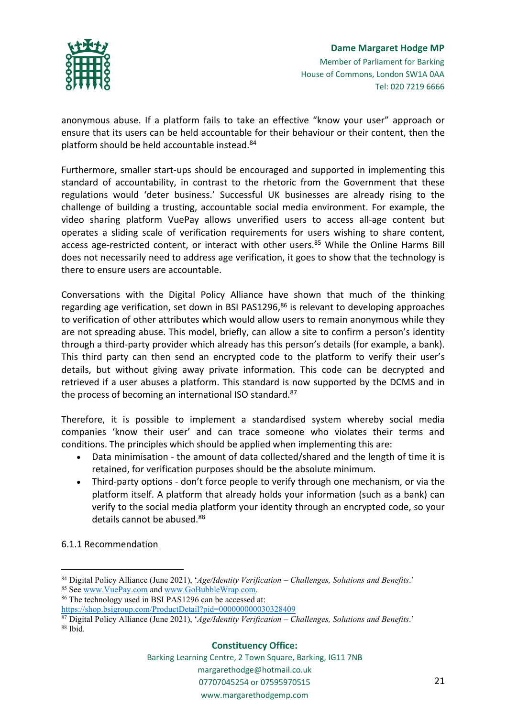

anonymous abuse. If a platform fails to take an effective "know your user" approach or ensure that its users can be held accountable for their behaviour or their content, then the platform should be held accountable instead.<sup>84</sup>

Furthermore, smaller start-ups should be encouraged and supported in implementing this standard of accountability, in contrast to the rhetoric from the Government that these regulations would 'deter business.' Successful UK businesses are already rising to the challenge of building a trusting, accountable social media environment. For example, the video sharing platform VuePay allows unverified users to access all-age content but operates a sliding scale of verification requirements for users wishing to share content, access age-restricted content, or interact with other users.<sup>85</sup> While the Online Harms Bill does not necessarily need to address age verification, it goes to show that the technology is there to ensure users are accountable.

Conversations with the Digital Policy Alliance have shown that much of the thinking regarding age verification, set down in BSI PAS1296,<sup>86</sup> is relevant to developing approaches to verification of other attributes which would allow users to remain anonymous while they are not spreading abuse. This model, briefly, can allow a site to confirm a person's identity through a third-party provider which already has this person's details (for example, a bank). This third party can then send an encrypted code to the platform to verify their user's details, but without giving away private information. This code can be decrypted and retrieved if a user abuses a platform. This standard is now supported by the DCMS and in the process of becoming an international ISO standard.<sup>87</sup>

Therefore, it is possible to implement a standardised system whereby social media companies 'know their user' and can trace someone who violates their terms and conditions. The principles which should be applied when implementing this are:

- Data minimisation the amount of data collected/shared and the length of time it is retained, for verification purposes should be the absolute minimum.
- Third-party options don't force people to verify through one mechanism, or via the platform itself. A platform that already holds your information (such as a bank) can verify to the social media platform your identity through an encrypted code, so your details cannot be abused.<sup>88</sup>

6.1.1 Recommendation

#### **Constituency Office:**

<sup>84</sup> Digital Policy Alliance (June 2021), '*Age/Identity Verification – Challenges, Solutions and Benefits*.' <sup>85</sup> See [www.VuePay.com](http://www.vuepay.com/) and [www.GoBubbleWrap.com](http://www.gobubblewrap.com/).

<sup>86</sup> The technology used in BSI PAS1296 can be accessed at:

<https://shop.bsigroup.com/ProductDetail?pid=000000000030328409>

<sup>87</sup> Digital Policy Alliance (June 2021), '*Age/Identity Verification – Challenges, Solutions and Benefits*.' <sup>88</sup> Ibid.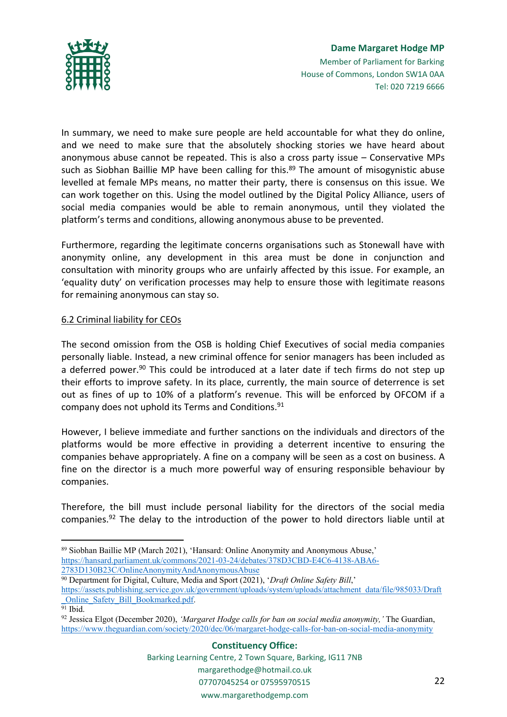

In summary, we need to make sure people are held accountable for what they do online, and we need to make sure that the absolutely shocking stories we have heard about anonymous abuse cannot be repeated. This is also a cross party issue – Conservative MPs such as Siobhan Baillie MP have been calling for this.<sup>89</sup> The amount of misogynistic abuse levelled at female MPs means, no matter their party, there is consensus on this issue. We can work together on this. Using the model outlined by the Digital Policy Alliance, users of social media companies would be able to remain anonymous, until they violated the platform's terms and conditions, allowing anonymous abuse to be prevented.

Furthermore, regarding the legitimate concerns organisations such as Stonewall have with anonymity online, any development in this area must be done in conjunction and consultation with minority groups who are unfairly affected by this issue. For example, an 'equality duty' on verification processes may help to ensure those with legitimate reasons for remaining anonymous can stay so.

# 6.2 Criminal liability for CEOs

The second omission from the OSB is holding Chief Executives of social media companies personally liable. Instead, a new criminal offence for senior managers has been included as a deferred power.<sup>90</sup> This could be introduced at a later date if tech firms do not step up their efforts to improve safety. In its place, currently, the main source of deterrence is set out as fines of up to 10% of a platform's revenue. This will be enforced by OFCOM if a company does not uphold its Terms and Conditions.<sup>91</sup>

However, I believe immediate and further sanctions on the individuals and directors of the platforms would be more effective in providing a deterrent incentive to ensuring the companies behave appropriately. A fine on a company will be seen as a cost on business. A fine on the director is a much more powerful way of ensuring responsible behaviour by companies.

Therefore, the bill must include personal liability for the directors of the social media companies. $92$  The delay to the introduction of the power to hold directors liable until at

<sup>90</sup> Department for Digital, Culture, Media and Sport (2021), '*Draft Online Safety Bill*,' [https://assets.publishing.service.gov.uk/government/uploads/system/uploads/attachment\\_data/file/985033/Draft](https://assets.publishing.service.gov.uk/government/uploads/system/uploads/attachment_data/file/985033/Draft_Online_Safety_Bill_Bookmarked.pdf) [\\_Online\\_Safety\\_Bill\\_Bookmarked.pdf](https://assets.publishing.service.gov.uk/government/uploads/system/uploads/attachment_data/file/985033/Draft_Online_Safety_Bill_Bookmarked.pdf).

<sup>89</sup> Siobhan Baillie MP (March 2021), 'Hansard: Online Anonymity and Anonymous Abuse,' [https://hansard.parliament.uk/commons/2021-03-24/debates/378D3CBD-E4C6-4138-ABA6-](https://hansard.parliament.uk/commons/2021-03-24/debates/378D3CBD-E4C6-4138-ABA6-2783D130B23C/OnlineAnonymityAndAnonymousAbuse) [2783D130B23C/OnlineAnonymityAndAnonymousAbuse](https://hansard.parliament.uk/commons/2021-03-24/debates/378D3CBD-E4C6-4138-ABA6-2783D130B23C/OnlineAnonymityAndAnonymousAbuse)

 $\overline{91}$  Ibid.

<sup>92</sup> Jessica Elgot (December 2020), *'Margaret Hodge calls for ban on social media anonymity,'* The Guardian, <https://www.theguardian.com/society/2020/dec/06/margaret-hodge-calls-for-ban-on-social-media-anonymity>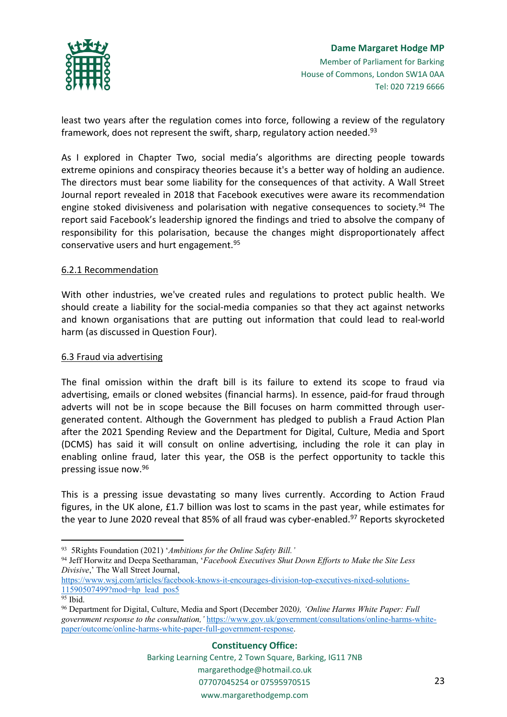

least two years after the regulation comes into force, following a review of the regulatory framework, does not represent the swift, sharp, regulatory action needed.<sup>93</sup>

As I explored in Chapter Two, social media's algorithms are directing people towards extreme opinions and conspiracy theories because it's a better way of holding an audience. The directors must bear some liability for the consequences of that activity. A Wall Street Journal report revealed in 2018 that Facebook executives were aware its recommendation engine stoked divisiveness and polarisation with negative consequences to society.<sup>94</sup> The report said Facebook's leadership ignored the findings and tried to absolve the company of responsibility for this polarisation, because the changes might disproportionately affect conservative users and hurt engagement.<sup>95</sup>

## 6.2.1 Recommendation

With other industries, we've created rules and regulations to protect public health. We should create a liability for the social-media companies so that they act against networks and known organisations that are putting out information that could lead to real-world harm (as discussed in Question Four).

### 6.3 Fraud via advertising

The final omission within the draft bill is its failure to extend its scope to fraud via advertising, emails or cloned websites (financial harms). In essence, paid-for fraud through adverts will not be in scope because the Bill focuses on harm committed through usergenerated content. Although the Government has pledged to publish a Fraud Action Plan after the 2021 Spending Review and the Department for Digital, Culture, Media and Sport (DCMS) has said it will consult on online advertising, including the role it can play in enabling online fraud, later this year, the OSB is the perfect opportunity to tackle this pressing issue now.<sup>96</sup>

This is a pressing issue devastating so many lives currently. According to Action Fraud figures, in the UK alone, £1.7 billion was lost to scams in the past year, while estimates for the year to June 2020 reveal that 85% of all fraud was cyber-enabled.<sup>97</sup> Reports skyrocketed

<sup>93</sup> 5Rights Foundation (2021) '*Ambitions for the Online Safety Bill.'*

<sup>94</sup> Jeff Horwitz and Deepa Seetharaman, '*Facebook Executives Shut Down Efforts to Make the Site Less Divisive*,' The Wall Street Journal,

[https://www.wsj.com/articles/facebook-knows-it-encourages-division-top-executives-nixed-solutions-](https://www.wsj.com/articles/facebook-knows-it-encourages-division-top-executives-nixed-solutions-11590507499?mod=hp_lead_pos5)[11590507499?mod=hp\\_lead\\_pos5](https://www.wsj.com/articles/facebook-knows-it-encourages-division-top-executives-nixed-solutions-11590507499?mod=hp_lead_pos5)

<sup>95</sup> Ibid.

<sup>96</sup> Department for Digital, Culture, Media and Sport (December 2020*), 'Online Harms White Paper: Full government response to the consultation,'* [https://www.gov.uk/government/consultations/online-harms-white](https://www.gov.uk/government/consultations/online-harms-white-paper/outcome/online-harms-white-paper-full-government-response)[paper/outcome/online-harms-white-paper-full-government-response.](https://www.gov.uk/government/consultations/online-harms-white-paper/outcome/online-harms-white-paper-full-government-response)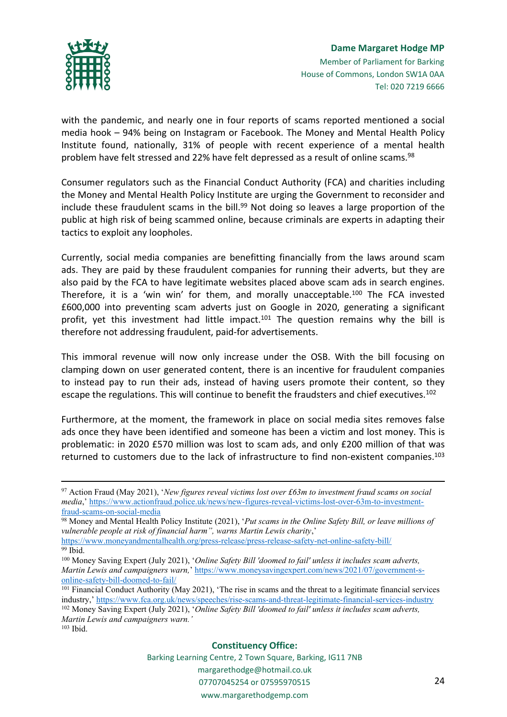

with the pandemic, and nearly one in four reports of scams reported mentioned a social media hook – 94% being on Instagram or Facebook. The Money and Mental Health Policy Institute found, nationally, 31% of people with recent experience of a mental health problem have felt stressed and 22% have felt depressed as a result of online scams.<sup>98</sup>

Consumer regulators such as the Financial Conduct Authority (FCA) and charities including the Money and Mental Health Policy Institute are urging the Government to reconsider and include these fraudulent scams in the bill.<sup>99</sup> Not doing so leaves a large proportion of the public at high risk of being scammed online, because criminals are experts in adapting their tactics to exploit any loopholes.

Currently, social media companies are benefitting financially from the laws around scam ads. They are paid by these fraudulent companies for running their adverts, but they are also paid by the FCA to have legitimate websites placed above scam ads in search engines. Therefore, it is a 'win win' for them, and morally unacceptable.<sup>100</sup> The FCA invested £600,000 into preventing scam adverts just on Google in 2020, generating a significant profit, yet this investment had little impact.<sup>101</sup> The question remains why the bill is therefore not addressing fraudulent, paid-for advertisements.

This immoral revenue will now only increase under the OSB. With the bill focusing on clamping down on user generated content, there is an incentive for fraudulent companies to instead pay to run their ads, instead of having users promote their content, so they escape the regulations. This will continue to benefit the fraudsters and chief executives.<sup>102</sup>

Furthermore, at the moment, the framework in place on social media sites removes false ads once they have been identified and someone has been a victim and lost money. This is problematic: in 2020 £570 million was lost to scam ads, and only £200 million of that was returned to customers due to the lack of infrastructure to find non-existent companies.<sup>103</sup>

*Martin Lewis and campaigners warn.'*

#### **Constituency Office:**

<sup>97</sup> Action Fraud (May 2021), '*New figures reveal victims lost over £63m to investment fraud scams on social media*,' [https://www.actionfraud.police.uk/news/new-figures-reveal-victims-lost-over-63m-to-investment](https://www.actionfraud.police.uk/news/new-figures-reveal-victims-lost-over-63m-to-investment-fraud-scams-on-social-media)[fraud-scams-on-social-media](https://www.actionfraud.police.uk/news/new-figures-reveal-victims-lost-over-63m-to-investment-fraud-scams-on-social-media)

<sup>98</sup> Money and Mental Health Policy Institute (2021), '*Put scams in the Online Safety Bill, or leave millions of vulnerable people at risk of financial harm", warns Martin Lewis charity*,'

<https://www.moneyandmentalhealth.org/press-release/press-release-safety-net-online-safety-bill/> <sup>99</sup> Ibid.

<sup>100</sup> Money Saving Expert (July 2021), '*Online Safety Bill 'doomed to fail' unless it includes scam adverts, Martin Lewis and campaigners warn,*' [https://www.moneysavingexpert.com/news/2021/07/government-s](https://www.moneysavingexpert.com/news/2021/07/government-s-online-safety-bill-doomed-to-fail/)[online-safety-bill-doomed-to-fail/](https://www.moneysavingexpert.com/news/2021/07/government-s-online-safety-bill-doomed-to-fail/)

<sup>&</sup>lt;sup>101</sup> Financial Conduct Authority (May 2021), 'The rise in scams and the threat to a legitimate financial services industry,' <https://www.fca.org.uk/news/speeches/rise-scams-and-threat-legitimate-financial-services-industry> <sup>102</sup> Money Saving Expert (July 2021), '*Online Safety Bill 'doomed to fail' unless it includes scam adverts,*

<sup>103</sup> Ibid.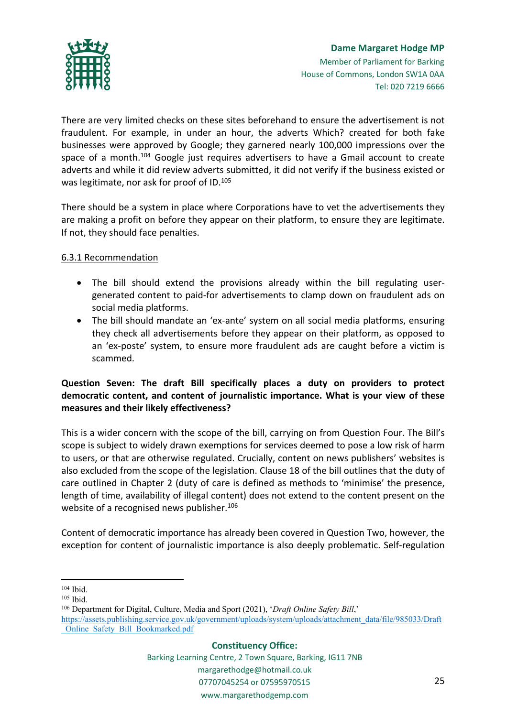

There are very limited checks on these sites beforehand to ensure the advertisement is not fraudulent. For example, in under an hour, the adverts Which? created for both fake businesses were approved by Google; they garnered nearly 100,000 impressions over the space of a month.<sup>104</sup> Google just requires advertisers to have a Gmail account to create adverts and while it did review adverts submitted, it did not verify if the business existed or was legitimate, nor ask for proof of ID.<sup>105</sup>

There should be a system in place where Corporations have to vet the advertisements they are making a profit on before they appear on their platform, to ensure they are legitimate. If not, they should face penalties.

## 6.3.1 Recommendation

- The bill should extend the provisions already within the bill regulating usergenerated content to paid-for advertisements to clamp down on fraudulent ads on social media platforms.
- The bill should mandate an 'ex-ante' system on all social media platforms, ensuring they check all advertisements before they appear on their platform, as opposed to an 'ex-poste' system, to ensure more fraudulent ads are caught before a victim is scammed.

# **Question Seven: The draft Bill specifically places a duty on providers to protect democratic content, and content of journalistic importance. What is your view of these measures and their likely effectiveness?**

This is a wider concern with the scope of the bill, carrying on from Question Four. The Bill's scope is subject to widely drawn exemptions for services deemed to pose a low risk of harm to users, or that are otherwise regulated. Crucially, content on news publishers' websites is also excluded from the scope of the legislation. Clause 18 of the bill outlines that the duty of care outlined in Chapter 2 (duty of care is defined as methods to 'minimise' the presence, length of time, availability of illegal content) does not extend to the content present on the website of a recognised news publisher.<sup>106</sup>

Content of democratic importance has already been covered in Question Two, however, the exception for content of journalistic importance is also deeply problematic. Self-regulation

<sup>106</sup> Department for Digital, Culture, Media and Sport (2021), '*Draft Online Safety Bill*,' [https://assets.publishing.service.gov.uk/government/uploads/system/uploads/attachment\\_data/file/985033/Draft](https://assets.publishing.service.gov.uk/government/uploads/system/uploads/attachment_data/file/985033/Draft_Online_Safety_Bill_Bookmarked.pdf) [\\_Online\\_Safety\\_Bill\\_Bookmarked.pdf](https://assets.publishing.service.gov.uk/government/uploads/system/uploads/attachment_data/file/985033/Draft_Online_Safety_Bill_Bookmarked.pdf)

### **Constituency Office:**

<sup>104</sup> Ibid.

<sup>105</sup> Ibid.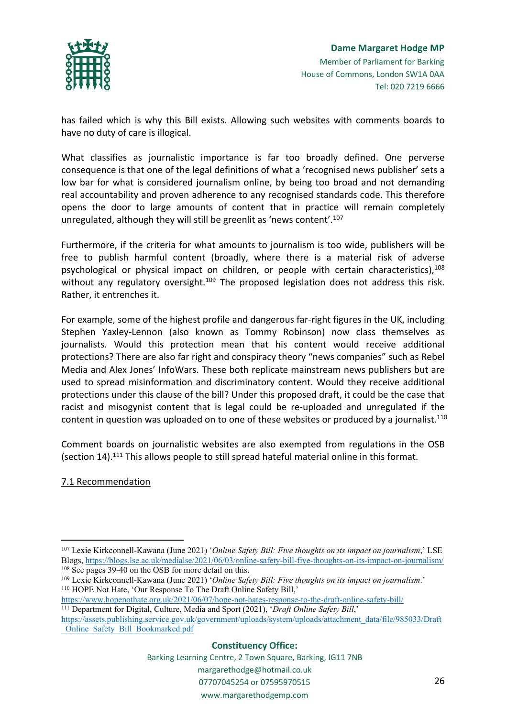

has failed which is why this Bill exists. Allowing such websites with comments boards to have no duty of care is illogical.

What classifies as journalistic importance is far too broadly defined. One perverse consequence is that one of the legal definitions of what a 'recognised news publisher' sets a low bar for what is considered journalism online, by being too broad and not demanding real accountability and proven adherence to any recognised standards code. This therefore opens the door to large amounts of content that in practice will remain completely unregulated, although they will still be greenlit as 'news content'.<sup>107</sup>

Furthermore, if the criteria for what amounts to journalism is too wide, publishers will be free to publish harmful content (broadly, where there is a material risk of adverse psychological or physical impact on children, or people with certain characteristics), $108$ without any regulatory oversight.<sup>109</sup> The proposed legislation does not address this risk. Rather, it entrenches it.

For example, some of the highest profile and dangerous far-right figures in the UK, including Stephen Yaxley-Lennon (also known as Tommy Robinson) now class themselves as journalists. Would this protection mean that his content would receive additional protections? There are also far right and conspiracy theory "news companies" such as Rebel Media and Alex Jones' InfoWars. These both replicate mainstream news publishers but are used to spread misinformation and discriminatory content. Would they receive additional protections under this clause of the bill? Under this proposed draft, it could be the case that racist and misogynist content that is legal could be re-uploaded and unregulated if the content in question was uploaded on to one of these websites or produced by a journalist.<sup>110</sup>

Comment boards on journalistic websites are also exempted from regulations in the OSB (section 14).<sup>111</sup> This allows people to still spread hateful material online in this format.

## 7.1 Recommendation

<sup>109</sup> Lexie Kirkconnell-Kawana (June 2021) '*Online Safety Bill: Five thoughts on its impact on journalism*.' <sup>110</sup> HOPE Not Hate, 'Our Response To The Draft Online Safety Bill,'

### **Constituency Office:**

<sup>107</sup> Lexie Kirkconnell-Kawana (June 2021) '*Online Safety Bill: Five thoughts on its impact on journalism*,' LSE Blogs, <https://blogs.lse.ac.uk/medialse/2021/06/03/online-safety-bill-five-thoughts-on-its-impact-on-journalism/> <sup>108</sup> See pages 39-40 on the OSB for more detail on this.

<https://www.hopenothate.org.uk/2021/06/07/hope-not-hates-response-to-the-draft-online-safety-bill/>

<sup>111</sup> Department for Digital, Culture, Media and Sport (2021), '*Draft Online Safety Bill*,' [https://assets.publishing.service.gov.uk/government/uploads/system/uploads/attachment\\_data/file/985033/Draft](https://assets.publishing.service.gov.uk/government/uploads/system/uploads/attachment_data/file/985033/Draft_Online_Safety_Bill_Bookmarked.pdf) [\\_Online\\_Safety\\_Bill\\_Bookmarked.pdf](https://assets.publishing.service.gov.uk/government/uploads/system/uploads/attachment_data/file/985033/Draft_Online_Safety_Bill_Bookmarked.pdf)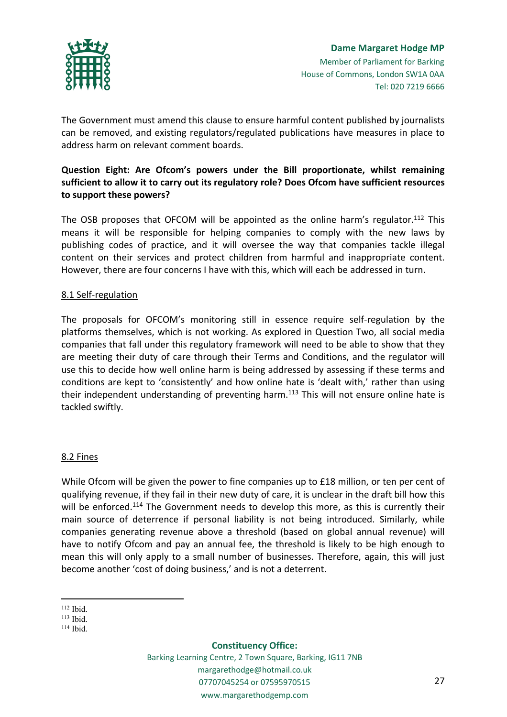

The Government must amend this clause to ensure harmful content published by journalists can be removed, and existing regulators/regulated publications have measures in place to address harm on relevant comment boards.

# **Question Eight: Are Ofcom's powers under the Bill proportionate, whilst remaining sufficient to allow it to carry out its regulatory role? Does Ofcom have sufficient resources to support these powers?**

The OSB proposes that OFCOM will be appointed as the online harm's regulator.<sup>112</sup> This means it will be responsible for helping companies to comply with the new laws by publishing codes of practice, and it will oversee the way that companies tackle illegal content on their services and protect children from harmful and inappropriate content. However, there are four concerns I have with this, which will each be addressed in turn.

## 8.1 Self-regulation

The proposals for OFCOM's monitoring still in essence require self-regulation by the platforms themselves, which is not working. As explored in Question Two, all social media companies that fall under this regulatory framework will need to be able to show that they are meeting their duty of care through their Terms and Conditions, and the regulator will use this to decide how well online harm is being addressed by assessing if these terms and conditions are kept to 'consistently' and how online hate is 'dealt with,' rather than using their independent understanding of preventing harm.<sup>113</sup> This will not ensure online hate is tackled swiftly.

## 8.2 Fines

While Ofcom will be given the power to fine companies up to £18 million, or ten per cent of qualifying revenue, if they fail in their new duty of care, it is unclear in the draft bill how this will be enforced.<sup>114</sup> The Government needs to develop this more, as this is currently their main source of deterrence if personal liability is not being introduced. Similarly, while companies generating revenue above a threshold (based on global annual revenue) will have to notify Ofcom and pay an annual fee, the threshold is likely to be high enough to mean this will only apply to a small number of businesses. Therefore, again, this will just become another 'cost of doing business,' and is not a deterrent.

#### **Constituency Office:**

<sup>112</sup> Ibid.

<sup>113</sup> Ibid.

<sup>114</sup> Ibid.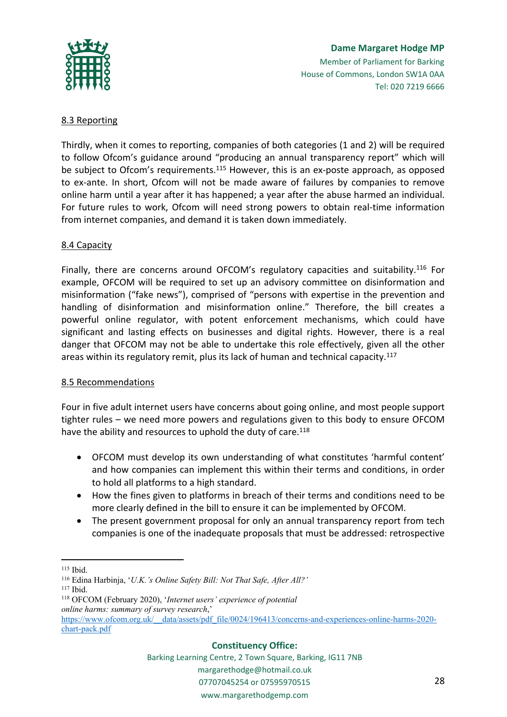

## **Dame Margaret Hodge MP** Member of Parliament for Barking House of Commons, London SW1A 0AA Tel: 020 7219 6666

# 8.3 Reporting

Thirdly, when it comes to reporting, companies of both categories (1 and 2) will be required to follow Ofcom's guidance around "producing an annual transparency report" which will be subject to Ofcom's requirements.<sup>115</sup> However, this is an ex-poste approach, as opposed to ex-ante. In short, Ofcom will not be made aware of failures by companies to remove online harm until a year after it has happened; a year after the abuse harmed an individual. For future rules to work, Ofcom will need strong powers to obtain real-time information from internet companies, and demand it is taken down immediately.

## 8.4 Capacity

Finally, there are concerns around OFCOM's regulatory capacities and suitability.<sup>116</sup> For example, OFCOM will be required to set up an advisory committee on disinformation and misinformation ("fake news"), comprised of "persons with expertise in the prevention and handling of disinformation and misinformation online." Therefore, the bill creates a powerful online regulator, with potent enforcement mechanisms, which could have significant and lasting effects on businesses and digital rights. However, there is a real danger that OFCOM may not be able to undertake this role effectively, given all the other areas within its regulatory remit, plus its lack of human and technical capacity.<sup>117</sup>

## 8.5 Recommendations

Four in five adult internet users have concerns about going online, and most people support tighter rules – we need more powers and regulations given to this body to ensure OFCOM have the ability and resources to uphold the duty of care.<sup>118</sup>

- OFCOM must develop its own understanding of what constitutes 'harmful content' and how companies can implement this within their terms and conditions, in order to hold all platforms to a high standard.
- How the fines given to platforms in breach of their terms and conditions need to be more clearly defined in the bill to ensure it can be implemented by OFCOM.
- The present government proposal for only an annual transparency report from tech companies is one of the inadequate proposals that must be addressed: retrospective

#### **Constituency Office:**

<sup>115</sup> Ibid.

<sup>116</sup> Edina Harbinja, '*U.K.'s Online Safety Bill: Not That Safe, After All?'*

<sup>117</sup> Ibid.

<sup>118</sup> OFCOM (February 2020), '*Internet users' experience of potential online harms: summary of survey research*,' [https://www.ofcom.org.uk/\\_\\_data/assets/pdf\\_file/0024/196413/concerns-and-experiences-online-harms-2020-](https://www.ofcom.org.uk/__data/assets/pdf_file/0024/196413/concerns-and-experiences-online-harms-2020-chart-pack.pdf)

[chart-pack.pdf](https://www.ofcom.org.uk/__data/assets/pdf_file/0024/196413/concerns-and-experiences-online-harms-2020-chart-pack.pdf)